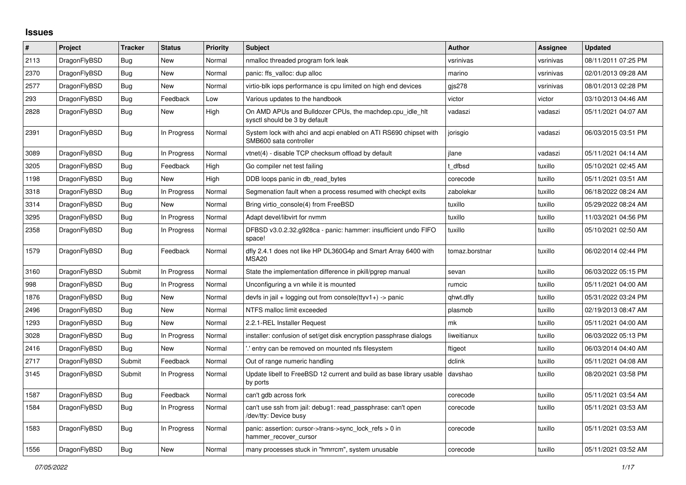## **Issues**

| $\vert$ # | Project      | Tracker    | <b>Status</b> | <b>Priority</b> | <b>Subject</b>                                                                             | <b>Author</b>  | Assignee  | <b>Updated</b>      |
|-----------|--------------|------------|---------------|-----------------|--------------------------------------------------------------------------------------------|----------------|-----------|---------------------|
| 2113      | DragonFlyBSD | Bug        | New           | Normal          | nmalloc threaded program fork leak                                                         | vsrinivas      | vsrinivas | 08/11/2011 07:25 PM |
| 2370      | DragonFlyBSD | <b>Bug</b> | <b>New</b>    | Normal          | panic: ffs valloc: dup alloc                                                               | marino         | vsrinivas | 02/01/2013 09:28 AM |
| 2577      | DragonFlyBSD | <b>Bug</b> | New           | Normal          | virtio-blk iops performance is cpu limited on high end devices                             | gjs278         | vsrinivas | 08/01/2013 02:28 PM |
| 293       | DragonFlyBSD | Bug        | Feedback      | Low             | Various updates to the handbook                                                            | victor         | victor    | 03/10/2013 04:46 AM |
| 2828      | DragonFlyBSD | <b>Bug</b> | New           | High            | On AMD APUs and Bulldozer CPUs, the machdep.cpu idle hit<br>sysctl should be 3 by default  | vadaszi        | vadaszi   | 05/11/2021 04:07 AM |
| 2391      | DragonFlyBSD | Bug        | In Progress   | Normal          | System lock with ahci and acpi enabled on ATI RS690 chipset with<br>SMB600 sata controller | jorisgio       | vadaszi   | 06/03/2015 03:51 PM |
| 3089      | DragonFlyBSD | <b>Bug</b> | In Progress   | Normal          | vtnet(4) - disable TCP checksum offload by default                                         | ilane          | vadaszi   | 05/11/2021 04:14 AM |
| 3205      | DragonFlyBSD | Bug        | Feedback      | High            | Go compiler net test failing                                                               | t dfbsd        | tuxillo   | 05/10/2021 02:45 AM |
| 1198      | DragonFlyBSD | Bug        | New           | High            | DDB loops panic in db read bytes                                                           | corecode       | tuxillo   | 05/11/2021 03:51 AM |
| 3318      | DragonFlyBSD | Bug        | In Progress   | Normal          | Segmenation fault when a process resumed with checkpt exits                                | zabolekar      | tuxillo   | 06/18/2022 08:24 AM |
| 3314      | DragonFlyBSD | Bug        | New           | Normal          | Bring virtio console(4) from FreeBSD                                                       | tuxillo        | tuxillo   | 05/29/2022 08:24 AM |
| 3295      | DragonFlyBSD | <b>Bug</b> | In Progress   | Normal          | Adapt devel/libvirt for nvmm                                                               | tuxillo        | tuxillo   | 11/03/2021 04:56 PM |
| 2358      | DragonFlyBSD | <b>Bug</b> | In Progress   | Normal          | DFBSD v3.0.2.32.g928ca - panic: hammer: insufficient undo FIFO<br>space!                   | tuxillo        | tuxillo   | 05/10/2021 02:50 AM |
| 1579      | DragonFlyBSD | Bug        | Feedback      | Normal          | dfly 2.4.1 does not like HP DL360G4p and Smart Array 6400 with<br>MSA <sub>20</sub>        | tomaz.borstnar | tuxillo   | 06/02/2014 02:44 PM |
| 3160      | DragonFlyBSD | Submit     | In Progress   | Normal          | State the implementation difference in pkill/pgrep manual                                  | sevan          | tuxillo   | 06/03/2022 05:15 PM |
| 998       | DragonFlyBSD | Bug        | In Progress   | Normal          | Unconfiguring a vn while it is mounted                                                     | rumcic         | tuxillo   | 05/11/2021 04:00 AM |
| 1876      | DragonFlyBSD | Bug        | New           | Normal          | devfs in jail + logging out from console(ttyv1+) -> panic                                  | qhwt.dfly      | tuxillo   | 05/31/2022 03:24 PM |
| 2496      | DragonFlyBSD | <b>Bug</b> | New           | Normal          | NTFS malloc limit exceeded                                                                 | plasmob        | tuxillo   | 02/19/2013 08:47 AM |
| 1293      | DragonFlyBSD | <b>Bug</b> | New           | Normal          | 2.2.1-REL Installer Request                                                                | mk             | tuxillo   | 05/11/2021 04:00 AM |
| 3028      | DragonFlyBSD | Bug        | In Progress   | Normal          | installer: confusion of set/get disk encryption passphrase dialogs                         | liweitianux    | tuxillo   | 06/03/2022 05:13 PM |
| 2416      | DragonFlyBSD | Bug        | <b>New</b>    | Normal          | ".' entry can be removed on mounted nfs filesystem                                         | ftigeot        | tuxillo   | 06/03/2014 04:40 AM |
| 2717      | DragonFlyBSD | Submit     | Feedback      | Normal          | Out of range numeric handling                                                              | dclink         | tuxillo   | 05/11/2021 04:08 AM |
| 3145      | DragonFlyBSD | Submit     | In Progress   | Normal          | Update libelf to FreeBSD 12 current and build as base library usable<br>by ports           | davshao        | tuxillo   | 08/20/2021 03:58 PM |
| 1587      | DragonFlyBSD | <b>Bug</b> | Feedback      | Normal          | can't gdb across fork                                                                      | corecode       | tuxillo   | 05/11/2021 03:54 AM |
| 1584      | DragonFlyBSD | Bug        | In Progress   | Normal          | can't use ssh from jail: debug1: read passphrase: can't open<br>/dev/tty: Device busy      | corecode       | tuxillo   | 05/11/2021 03:53 AM |
| 1583      | DragonFlyBSD | Bug        | In Progress   | Normal          | panic: assertion: cursor->trans->sync_lock_refs > 0 in<br>hammer_recover_cursor            | corecode       | tuxillo   | 05/11/2021 03:53 AM |
| 1556      | DragonFlyBSD | <b>Bug</b> | New           | Normal          | many processes stuck in "hmrrcm", system unusable                                          | corecode       | tuxillo   | 05/11/2021 03:52 AM |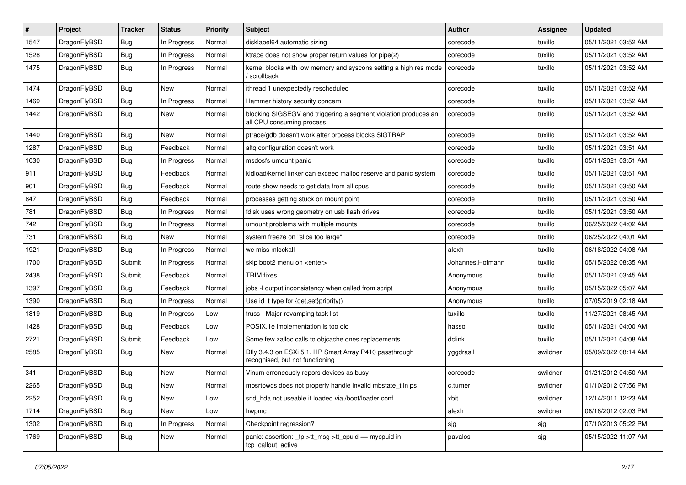| $\pmb{\#}$ | Project      | <b>Tracker</b> | <b>Status</b> | <b>Priority</b> | Subject                                                                                      | <b>Author</b>    | <b>Assignee</b> | <b>Updated</b>      |
|------------|--------------|----------------|---------------|-----------------|----------------------------------------------------------------------------------------------|------------------|-----------------|---------------------|
| 1547       | DragonFlyBSD | <b>Bug</b>     | In Progress   | Normal          | disklabel64 automatic sizing                                                                 | corecode         | tuxillo         | 05/11/2021 03:52 AM |
| 1528       | DragonFlyBSD | <b>Bug</b>     | In Progress   | Normal          | ktrace does not show proper return values for pipe(2)                                        | corecode         | tuxillo         | 05/11/2021 03:52 AM |
| 1475       | DragonFlyBSD | <b>Bug</b>     | In Progress   | Normal          | kernel blocks with low memory and syscons setting a high res mode<br>/ scrollback            | corecode         | tuxillo         | 05/11/2021 03:52 AM |
| 1474       | DragonFlyBSD | <b>Bug</b>     | <b>New</b>    | Normal          | ithread 1 unexpectedly rescheduled                                                           | corecode         | tuxillo         | 05/11/2021 03:52 AM |
| 1469       | DragonFlyBSD | <b>Bug</b>     | In Progress   | Normal          | Hammer history security concern                                                              | corecode         | tuxillo         | 05/11/2021 03:52 AM |
| 1442       | DragonFlyBSD | Bug            | New           | Normal          | blocking SIGSEGV and triggering a segment violation produces an<br>all CPU consuming process | corecode         | tuxillo         | 05/11/2021 03:52 AM |
| 1440       | DragonFlyBSD | <b>Bug</b>     | <b>New</b>    | Normal          | ptrace/gdb doesn't work after process blocks SIGTRAP                                         | corecode         | tuxillo         | 05/11/2021 03:52 AM |
| 1287       | DragonFlyBSD | <b>Bug</b>     | Feedback      | Normal          | altq configuration doesn't work                                                              | corecode         | tuxillo         | 05/11/2021 03:51 AM |
| 1030       | DragonFlyBSD | <b>Bug</b>     | In Progress   | Normal          | msdosfs umount panic                                                                         | corecode         | tuxillo         | 05/11/2021 03:51 AM |
| 911        | DragonFlyBSD | Bug            | Feedback      | Normal          | kldload/kernel linker can exceed malloc reserve and panic system                             | corecode         | tuxillo         | 05/11/2021 03:51 AM |
| 901        | DragonFlyBSD | <b>Bug</b>     | Feedback      | Normal          | route show needs to get data from all cpus                                                   | corecode         | tuxillo         | 05/11/2021 03:50 AM |
| 847        | DragonFlyBSD | <b>Bug</b>     | Feedback      | Normal          | processes getting stuck on mount point                                                       | corecode         | tuxillo         | 05/11/2021 03:50 AM |
| 781        | DragonFlyBSD | <b>Bug</b>     | In Progress   | Normal          | fdisk uses wrong geometry on usb flash drives                                                | corecode         | tuxillo         | 05/11/2021 03:50 AM |
| 742        | DragonFlyBSD | <b>Bug</b>     | In Progress   | Normal          | umount problems with multiple mounts                                                         | corecode         | tuxillo         | 06/25/2022 04:02 AM |
| 731        | DragonFlyBSD | Bug            | <b>New</b>    | Normal          | system freeze on "slice too large"                                                           | corecode         | tuxillo         | 06/25/2022 04:01 AM |
| 1921       | DragonFlyBSD | <b>Bug</b>     | In Progress   | Normal          | we miss mlockall                                                                             | alexh            | tuxillo         | 06/18/2022 04:08 AM |
| 1700       | DragonFlyBSD | Submit         | In Progress   | Normal          | skip boot2 menu on <enter></enter>                                                           | Johannes.Hofmann | tuxillo         | 05/15/2022 08:35 AM |
| 2438       | DragonFlyBSD | Submit         | Feedback      | Normal          | <b>TRIM</b> fixes                                                                            | Anonymous        | tuxillo         | 05/11/2021 03:45 AM |
| 1397       | DragonFlyBSD | <b>Bug</b>     | Feedback      | Normal          | jobs -I output inconsistency when called from script                                         | Anonymous        | tuxillo         | 05/15/2022 05:07 AM |
| 1390       | DragonFlyBSD | Bug            | In Progress   | Normal          | Use id_t type for {get,set}priority()                                                        | Anonymous        | tuxillo         | 07/05/2019 02:18 AM |
| 1819       | DragonFlyBSD | <b>Bug</b>     | In Progress   | Low             | truss - Major revamping task list                                                            | tuxillo          | tuxillo         | 11/27/2021 08:45 AM |
| 1428       | DragonFlyBSD | <b>Bug</b>     | Feedback      | Low             | POSIX.1e implementation is too old                                                           | hasso            | tuxillo         | 05/11/2021 04:00 AM |
| 2721       | DragonFlyBSD | Submit         | Feedback      | Low             | Some few zalloc calls to objcache ones replacements                                          | dclink           | tuxillo         | 05/11/2021 04:08 AM |
| 2585       | DragonFlyBSD | Bug            | New           | Normal          | Dfly 3.4.3 on ESXi 5.1, HP Smart Array P410 passthrough<br>recognised, but not functioning   | yggdrasil        | swildner        | 05/09/2022 08:14 AM |
| 341        | DragonFlyBSD | <b>Bug</b>     | <b>New</b>    | Normal          | Vinum erroneously repors devices as busy                                                     | corecode         | swildner        | 01/21/2012 04:50 AM |
| 2265       | DragonFlyBSD | Bug            | <b>New</b>    | Normal          | mbsrtowcs does not properly handle invalid mbstate_t in ps                                   | c.turner1        | swildner        | 01/10/2012 07:56 PM |
| 2252       | DragonFlyBSD | Bug            | New           | Low             | snd hda not useable if loaded via /boot/loader.conf                                          | xbit             | swildner        | 12/14/2011 12:23 AM |
| 1714       | DragonFlyBSD | <b>Bug</b>     | New           | Low             | hwpmc                                                                                        | alexh            | swildner        | 08/18/2012 02:03 PM |
| 1302       | DragonFlyBSD | <b>Bug</b>     | In Progress   | Normal          | Checkpoint regression?                                                                       | sjg              | sjg             | 07/10/2013 05:22 PM |
| 1769       | DragonFlyBSD | Bug            | New           | Normal          | panic: assertion: _tp->tt_msg->tt_cpuid == mycpuid in<br>tcp_callout_active                  | pavalos          | sjg             | 05/15/2022 11:07 AM |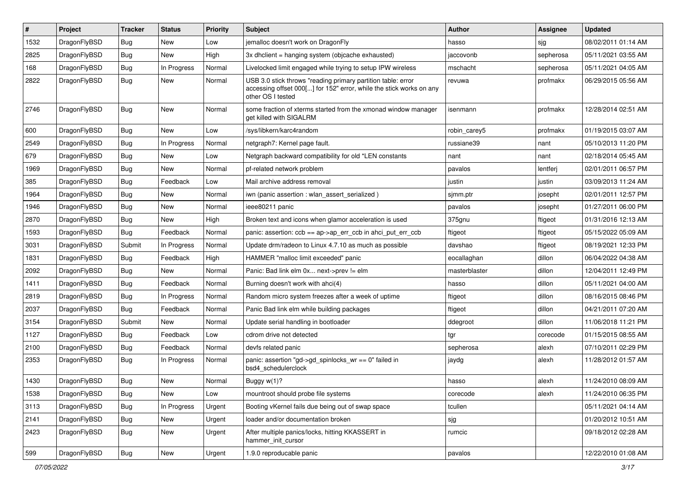| #    | Project      | <b>Tracker</b> | <b>Status</b> | <b>Priority</b> | Subject                                                                                                                                                  | <b>Author</b> | Assignee  | <b>Updated</b>      |
|------|--------------|----------------|---------------|-----------------|----------------------------------------------------------------------------------------------------------------------------------------------------------|---------------|-----------|---------------------|
| 1532 | DragonFlyBSD | Bug            | New           | Low             | jemalloc doesn't work on DragonFly                                                                                                                       | hasso         | sjg       | 08/02/2011 01:14 AM |
| 2825 | DragonFlyBSD | Bug            | <b>New</b>    | High            | 3x dholient = hanging system (objoache exhausted)                                                                                                        | jaccovonb     | sepherosa | 05/11/2021 03:55 AM |
| 168  | DragonFlyBSD | Bug            | In Progress   | Normal          | Livelocked limit engaged while trying to setup IPW wireless                                                                                              | mschacht      | sepherosa | 05/11/2021 04:05 AM |
| 2822 | DragonFlyBSD | Bug            | New           | Normal          | USB 3.0 stick throws "reading primary partition table: error<br>accessing offset 000[] for 152" error, while the stick works on any<br>other OS I tested | revuwa        | profmakx  | 06/29/2015 05:56 AM |
| 2746 | DragonFlyBSD | Bug            | New           | Normal          | some fraction of xterms started from the xmonad window manager<br>get killed with SIGALRM                                                                | isenmann      | profmakx  | 12/28/2014 02:51 AM |
| 600  | DragonFlyBSD | Bug            | <b>New</b>    | Low             | /sys/libkern/karc4random                                                                                                                                 | robin carev5  | profmakx  | 01/19/2015 03:07 AM |
| 2549 | DragonFlyBSD | Bug            | In Progress   | Normal          | netgraph7: Kernel page fault.                                                                                                                            | russiane39    | nant      | 05/10/2013 11:20 PM |
| 679  | DragonFlyBSD | Bug            | New           | Low             | Netgraph backward compatibility for old *LEN constants                                                                                                   | nant          | nant      | 02/18/2014 05:45 AM |
| 1969 | DragonFlyBSD | Bug            | New           | Normal          | pf-related network problem                                                                                                                               | pavalos       | lentferj  | 02/01/2011 06:57 PM |
| 385  | DragonFlyBSD | Bug            | Feedback      | Low             | Mail archive address removal                                                                                                                             | justin        | justin    | 03/09/2013 11:24 AM |
| 1964 | DragonFlyBSD | Bug            | New           | Normal          | iwn (panic assertion : wlan_assert_serialized)                                                                                                           | simm.ptr      | josepht   | 02/01/2011 12:57 PM |
| 1946 | DragonFlyBSD | Bug            | New           | Normal          | ieee80211 panic                                                                                                                                          | pavalos       | josepht   | 01/27/2011 06:00 PM |
| 2870 | DragonFlyBSD | Bug            | New           | High            | Broken text and icons when glamor acceleration is used                                                                                                   | 375gnu        | ftigeot   | 01/31/2016 12:13 AM |
| 1593 | DragonFlyBSD | Bug            | Feedback      | Normal          | panic: assertion: ccb == ap->ap_err_ccb in ahci_put_err_ccb                                                                                              | ftigeot       | ftigeot   | 05/15/2022 05:09 AM |
| 3031 | DragonFlyBSD | Submit         | In Progress   | Normal          | Update drm/radeon to Linux 4.7.10 as much as possible                                                                                                    | davshao       | ftigeot   | 08/19/2021 12:33 PM |
| 1831 | DragonFlyBSD | Bug            | Feedback      | High            | HAMMER "malloc limit exceeded" panic                                                                                                                     | eocallaghan   | dillon    | 06/04/2022 04:38 AM |
| 2092 | DragonFlyBSD | Bug            | <b>New</b>    | Normal          | Panic: Bad link elm 0x next->prev != elm                                                                                                                 | masterblaster | dillon    | 12/04/2011 12:49 PM |
| 1411 | DragonFlyBSD | Bug            | Feedback      | Normal          | Burning doesn't work with ahci(4)                                                                                                                        | hasso         | dillon    | 05/11/2021 04:00 AM |
| 2819 | DragonFlyBSD | <b>Bug</b>     | In Progress   | Normal          | Random micro system freezes after a week of uptime                                                                                                       | ftigeot       | dillon    | 08/16/2015 08:46 PM |
| 2037 | DragonFlyBSD | Bug            | Feedback      | Normal          | Panic Bad link elm while building packages                                                                                                               | ftigeot       | dillon    | 04/21/2011 07:20 AM |
| 3154 | DragonFlyBSD | Submit         | New           | Normal          | Update serial handling in bootloader                                                                                                                     | ddegroot      | dillon    | 11/06/2018 11:21 PM |
| 1127 | DragonFlyBSD | <b>Bug</b>     | Feedback      | Low             | cdrom drive not detected                                                                                                                                 | tgr           | corecode  | 01/15/2015 08:55 AM |
| 2100 | DragonFlyBSD | <b>Bug</b>     | Feedback      | Normal          | devfs related panic                                                                                                                                      | sepherosa     | alexh     | 07/10/2011 02:29 PM |
| 2353 | DragonFlyBSD | <b>Bug</b>     | In Progress   | Normal          | panic: assertion "gd->gd spinlocks $wr == 0$ " failed in<br>bsd4_schedulerclock                                                                          | jaydg         | alexh     | 11/28/2012 01:57 AM |
| 1430 | DragonFlyBSD | Bug            | New           | Normal          | Buggy w(1)?                                                                                                                                              | hasso         | alexh     | 11/24/2010 08:09 AM |
| 1538 | DragonFlyBSD | <b>Bug</b>     | New           | Low             | mountroot should probe file systems                                                                                                                      | corecode      | alexh     | 11/24/2010 06:35 PM |
| 3113 | DragonFlyBSD | <b>Bug</b>     | In Progress   | Urgent          | Booting vKernel fails due being out of swap space                                                                                                        | tcullen       |           | 05/11/2021 04:14 AM |
| 2141 | DragonFlyBSD | <b>Bug</b>     | New           | Urgent          | loader and/or documentation broken                                                                                                                       | sjg           |           | 01/20/2012 10:51 AM |
| 2423 | DragonFlyBSD | Bug            | New           | Urgent          | After multiple panics/locks, hitting KKASSERT in<br>hammer_init_cursor                                                                                   | rumcic        |           | 09/18/2012 02:28 AM |
| 599  | DragonFlyBSD | <b>Bug</b>     | New           | Urgent          | 1.9.0 reproducable panic                                                                                                                                 | pavalos       |           | 12/22/2010 01:08 AM |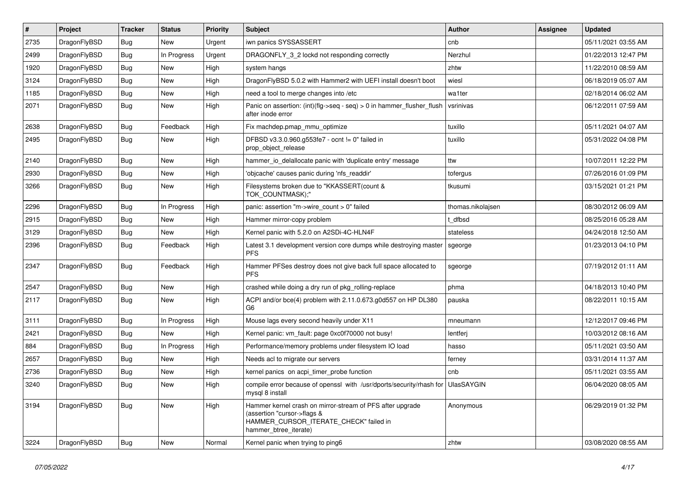| $\sharp$ | <b>Project</b> | <b>Tracker</b> | <b>Status</b> | <b>Priority</b> | <b>Subject</b>                                                                                                                                              | <b>Author</b>     | <b>Assignee</b> | <b>Updated</b>      |
|----------|----------------|----------------|---------------|-----------------|-------------------------------------------------------------------------------------------------------------------------------------------------------------|-------------------|-----------------|---------------------|
| 2735     | DragonFlyBSD   | <b>Bug</b>     | <b>New</b>    | Urgent          | iwn panics SYSSASSERT                                                                                                                                       | cnb               |                 | 05/11/2021 03:55 AM |
| 2499     | DragonFlyBSD   | Bug            | In Progress   | Urgent          | DRAGONFLY 3 2 lockd not responding correctly                                                                                                                | Nerzhul           |                 | 01/22/2013 12:47 PM |
| 1920     | DragonFlyBSD   | Bug            | New           | High            | system hangs                                                                                                                                                | zhtw              |                 | 11/22/2010 08:59 AM |
| 3124     | DragonFlyBSD   | Bug            | New           | High            | DragonFlyBSD 5.0.2 with Hammer2 with UEFI install doesn't boot                                                                                              | wiesl             |                 | 06/18/2019 05:07 AM |
| 1185     | DragonFlyBSD   | Bug            | New           | High            | need a tool to merge changes into /etc                                                                                                                      | wa1ter            |                 | 02/18/2014 06:02 AM |
| 2071     | DragonFlyBSD   | <b>Bug</b>     | <b>New</b>    | High            | Panic on assertion: $(int)(flag->seq - seq) > 0$ in hammer flusher flush<br>after inode error                                                               | vsrinivas         |                 | 06/12/2011 07:59 AM |
| 2638     | DragonFlyBSD   | <b>Bug</b>     | Feedback      | High            | Fix machdep.pmap_mmu_optimize                                                                                                                               | tuxillo           |                 | 05/11/2021 04:07 AM |
| 2495     | DragonFlyBSD   | <b>Bug</b>     | <b>New</b>    | High            | DFBSD v3.3.0.960.g553fe7 - ocnt != 0" failed in<br>prop_object_release                                                                                      | tuxillo           |                 | 05/31/2022 04:08 PM |
| 2140     | DragonFlyBSD   | <b>Bug</b>     | <b>New</b>    | High            | hammer_io_delallocate panic with 'duplicate entry' message                                                                                                  | ttw               |                 | 10/07/2011 12:22 PM |
| 2930     | DragonFlyBSD   | Bug            | New           | High            | 'objcache' causes panic during 'nfs_readdir'                                                                                                                | tofergus          |                 | 07/26/2016 01:09 PM |
| 3266     | DragonFlyBSD   | Bug            | <b>New</b>    | High            | Filesystems broken due to "KKASSERT(count &<br>TOK COUNTMASK);"                                                                                             | tkusumi           |                 | 03/15/2021 01:21 PM |
| 2296     | DragonFlyBSD   | Bug            | In Progress   | High            | panic: assertion "m->wire count > 0" failed                                                                                                                 | thomas.nikolajsen |                 | 08/30/2012 06:09 AM |
| 2915     | DragonFlyBSD   | Bug            | <b>New</b>    | High            | Hammer mirror-copy problem                                                                                                                                  | t dfbsd           |                 | 08/25/2016 05:28 AM |
| 3129     | DragonFlyBSD   | <b>Bug</b>     | New           | High            | Kernel panic with 5.2.0 on A2SDi-4C-HLN4F                                                                                                                   | stateless         |                 | 04/24/2018 12:50 AM |
| 2396     | DragonFlyBSD   | Bug            | Feedback      | High            | Latest 3.1 development version core dumps while destroying master<br><b>PFS</b>                                                                             | sgeorge           |                 | 01/23/2013 04:10 PM |
| 2347     | DragonFlyBSD   | <b>Bug</b>     | Feedback      | High            | Hammer PFSes destroy does not give back full space allocated to<br><b>PFS</b>                                                                               | sgeorge           |                 | 07/19/2012 01:11 AM |
| 2547     | DragonFlyBSD   | Bug            | <b>New</b>    | High            | crashed while doing a dry run of pkg rolling-replace                                                                                                        | phma              |                 | 04/18/2013 10:40 PM |
| 2117     | DragonFlyBSD   | <b>Bug</b>     | <b>New</b>    | High            | ACPI and/or bce(4) problem with 2.11.0.673.g0d557 on HP DL380<br>G6                                                                                         | pauska            |                 | 08/22/2011 10:15 AM |
| 3111     | DragonFlyBSD   | <b>Bug</b>     | In Progress   | High            | Mouse lags every second heavily under X11                                                                                                                   | mneumann          |                 | 12/12/2017 09:46 PM |
| 2421     | DragonFlyBSD   | Bug            | New           | High            | Kernel panic: vm_fault: page 0xc0f70000 not busy!                                                                                                           | lentferj          |                 | 10/03/2012 08:16 AM |
| 884      | DragonFlyBSD   | <b>Bug</b>     | In Progress   | High            | Performance/memory problems under filesystem IO load                                                                                                        | hasso             |                 | 05/11/2021 03:50 AM |
| 2657     | DragonFlyBSD   | Bug            | New           | High            | Needs acl to migrate our servers                                                                                                                            | ferney            |                 | 03/31/2014 11:37 AM |
| 2736     | DragonFlyBSD   | Bug            | <b>New</b>    | High            | kernel panics on acpi_timer_probe function                                                                                                                  | cnb               |                 | 05/11/2021 03:55 AM |
| 3240     | DragonFlyBSD   | Bug            | New           | High            | compile error because of openssl with /usr/dports/security/rhash for<br>mysql 8 install                                                                     | <b>UlasSAYGIN</b> |                 | 06/04/2020 08:05 AM |
| 3194     | DragonFlyBSD   | Bug            | <b>New</b>    | High            | Hammer kernel crash on mirror-stream of PFS after upgrade<br>(assertion "cursor->flags &<br>HAMMER_CURSOR_ITERATE_CHECK" failed in<br>hammer btree iterate) | Anonymous         |                 | 06/29/2019 01:32 PM |
| 3224     | DragonFlyBSD   | <b>Bug</b>     | New           | Normal          | Kernel panic when trying to ping6                                                                                                                           | zhtw              |                 | 03/08/2020 08:55 AM |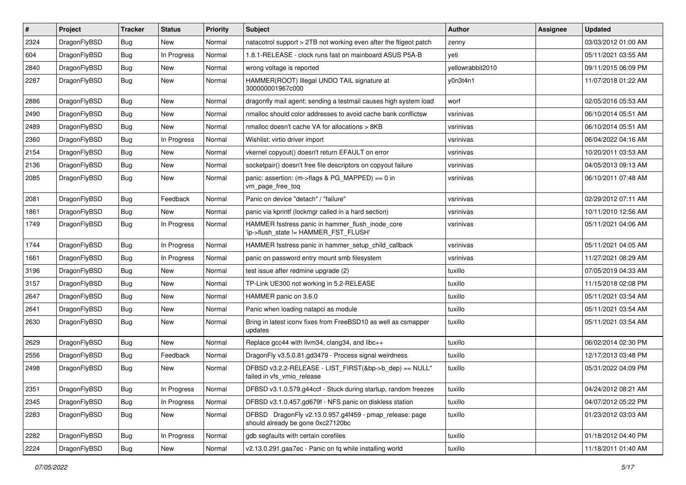| #    | Project      | <b>Tracker</b> | <b>Status</b> | <b>Priority</b> | Subject                                                                                      | Author           | Assignee | <b>Updated</b>      |
|------|--------------|----------------|---------------|-----------------|----------------------------------------------------------------------------------------------|------------------|----------|---------------------|
| 2324 | DragonFlyBSD | <b>Bug</b>     | New           | Normal          | natacotrol support > 2TB not working even after the ftigeot patch                            | zenny            |          | 03/03/2012 01:00 AM |
| 604  | DragonFlyBSD | Bug            | In Progress   | Normal          | 1.8.1-RELEASE - clock runs fast on mainboard ASUS P5A-B                                      | yeti             |          | 05/11/2021 03:55 AM |
| 2840 | DragonFlyBSD | <b>Bug</b>     | New           | Normal          | wrong voltage is reported                                                                    | yellowrabbit2010 |          | 09/11/2015 06:09 PM |
| 2287 | DragonFlyBSD | Bug            | New           | Normal          | HAMMER(ROOT) Illegal UNDO TAIL signature at<br>300000001967c000                              | y0n3t4n1         |          | 11/07/2018 01:22 AM |
| 2886 | DragonFlyBSD | <b>Bug</b>     | New           | Normal          | dragonfly mail agent: sending a testmail causes high system load                             | worf             |          | 02/05/2016 05:53 AM |
| 2490 | DragonFlyBSD | Bug            | <b>New</b>    | Normal          | nmalloc should color addresses to avoid cache bank conflictsw                                | vsrinivas        |          | 06/10/2014 05:51 AM |
| 2489 | DragonFlyBSD | <b>Bug</b>     | New           | Normal          | nmalloc doesn't cache VA for allocations > 8KB                                               | vsrinivas        |          | 06/10/2014 05:51 AM |
| 2360 | DragonFlyBSD | <b>Bug</b>     | In Progress   | Normal          | Wishlist: virtio driver import                                                               | vsrinivas        |          | 06/04/2022 04:16 AM |
| 2154 | DragonFlyBSD | Bug            | <b>New</b>    | Normal          | vkernel copyout() doesn't return EFAULT on error                                             | vsrinivas        |          | 10/20/2011 03:53 AM |
| 2136 | DragonFlyBSD | <b>Bug</b>     | New           | Normal          | socketpair() doesn't free file descriptors on copyout failure                                | vsrinivas        |          | 04/05/2013 09:13 AM |
| 2085 | DragonFlyBSD | Bug            | New           | Normal          | panic: assertion: (m->flags & PG_MAPPED) == 0 in<br>vm page free tog                         | vsrinivas        |          | 06/10/2011 07:48 AM |
| 2081 | DragonFlyBSD | <b>Bug</b>     | Feedback      | Normal          | Panic on device "detach" / "failure"                                                         | vsrinivas        |          | 02/29/2012 07:11 AM |
| 1861 | DragonFlyBSD | Bug            | <b>New</b>    | Normal          | panic via kprintf (lockmgr called in a hard section)                                         | vsrinivas        |          | 10/11/2010 12:56 AM |
| 1749 | DragonFlyBSD | Bug            | In Progress   | Normal          | HAMMER fsstress panic in hammer_flush_inode_core<br>'ip->flush_state != HAMMER_FST_FLUSH'    | vsrinivas        |          | 05/11/2021 04:06 AM |
| 1744 | DragonFlyBSD | Bug            | In Progress   | Normal          | HAMMER fsstress panic in hammer_setup_child_callback                                         | vsrinivas        |          | 05/11/2021 04:05 AM |
| 1661 | DragonFlyBSD | Bug            | In Progress   | Normal          | panic on password entry mount smb filesystem                                                 | vsrinivas        |          | 11/27/2021 08:29 AM |
| 3196 | DragonFlyBSD | Bug            | New           | Normal          | test issue after redmine upgrade (2)                                                         | tuxillo          |          | 07/05/2019 04:33 AM |
| 3157 | DragonFlyBSD | <b>Bug</b>     | New           | Normal          | TP-Link UE300 not working in 5.2-RELEASE                                                     | tuxillo          |          | 11/15/2018 02:08 PM |
| 2647 | DragonFlyBSD | Bug            | New           | Normal          | HAMMER panic on 3.6.0                                                                        | tuxillo          |          | 05/11/2021 03:54 AM |
| 2641 | DragonFlyBSD | Bug            | <b>New</b>    | Normal          | Panic when loading natapci as module                                                         | tuxillo          |          | 05/11/2021 03:54 AM |
| 2630 | DragonFlyBSD | <b>Bug</b>     | New           | Normal          | Bring in latest iconv fixes from FreeBSD10 as well as csmapper<br>updates                    | tuxillo          |          | 05/11/2021 03:54 AM |
| 2629 | DragonFlyBSD | Bug            | <b>New</b>    | Normal          | Replace gcc44 with llvm34, clang34, and libc++                                               | tuxillo          |          | 06/02/2014 02:30 PM |
| 2556 | DragonFlyBSD | <b>Bug</b>     | Feedback      | Normal          | DragonFly v3.5.0.81.gd3479 - Process signal weirdness                                        | tuxillo          |          | 12/17/2013 03:48 PM |
| 2498 | DragonFlyBSD | Bug            | New           | Normal          | DFBSD v3.2.2-RELEASE - LIST_FIRST(&bp->b_dep) == NULL"<br>failed in vfs_vmio_release         | tuxillo          |          | 05/31/2022 04:09 PM |
| 2351 | DragonFlyBSD | Bug            | In Progress   | Normal          | DFBSD v3.1.0.579.g44ccf - Stuck during startup, random freezes                               | tuxillo          |          | 04/24/2012 08:21 AM |
| 2345 | DragonFlyBSD | <b>Bug</b>     | In Progress   | Normal          | DFBSD v3.1.0.457.gd679f - NFS panic on diskless station                                      | tuxillo          |          | 04/07/2012 05:22 PM |
| 2283 | DragonFlyBSD | <b>Bug</b>     | New           | Normal          | DFBSD DragonFly v2.13.0.957.g4f459 - pmap_release: page<br>should already be gone 0xc27120bc | tuxillo          |          | 01/23/2012 03:03 AM |
| 2282 | DragonFlyBSD | <b>Bug</b>     | In Progress   | Normal          | gdb segfaults with certain corefiles                                                         | tuxillo          |          | 01/18/2012 04:40 PM |
| 2224 | DragonFlyBSD | <b>Bug</b>     | New           | Normal          | v2.13.0.291.gaa7ec - Panic on fq while installing world                                      | tuxillo          |          | 11/18/2011 01:40 AM |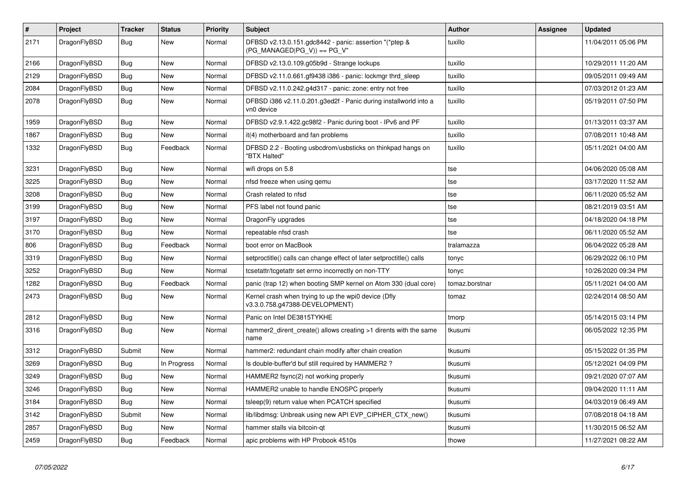| $\vert$ # | <b>Project</b> | <b>Tracker</b> | <b>Status</b> | <b>Priority</b> | <b>Subject</b>                                                                         | <b>Author</b>  | Assignee | <b>Updated</b>      |
|-----------|----------------|----------------|---------------|-----------------|----------------------------------------------------------------------------------------|----------------|----------|---------------------|
| 2171      | DragonFlyBSD   | Bug            | New           | Normal          | DFBSD v2.13.0.151.gdc8442 - panic: assertion "(*ptep &<br>(PG_MANAGED PG_V)) == PG_V"  | tuxillo        |          | 11/04/2011 05:06 PM |
| 2166      | DragonFlyBSD   | Bug            | <b>New</b>    | Normal          | DFBSD v2.13.0.109.g05b9d - Strange lockups                                             | tuxillo        |          | 10/29/2011 11:20 AM |
| 2129      | DragonFlyBSD   | Bug            | <b>New</b>    | Normal          | DFBSD v2.11.0.661.gf9438 i386 - panic: lockmgr thrd_sleep                              | tuxillo        |          | 09/05/2011 09:49 AM |
| 2084      | DragonFlyBSD   | <b>Bug</b>     | <b>New</b>    | Normal          | DFBSD v2.11.0.242.g4d317 - panic: zone: entry not free                                 | tuxillo        |          | 07/03/2012 01:23 AM |
| 2078      | DragonFlyBSD   | <b>Bug</b>     | New           | Normal          | DFBSD i386 v2.11.0.201.g3ed2f - Panic during installworld into a<br>vn0 device         | tuxillo        |          | 05/19/2011 07:50 PM |
| 1959      | DragonFlyBSD   | Bug            | <b>New</b>    | Normal          | DFBSD v2.9.1.422.gc98f2 - Panic during boot - IPv6 and PF                              | tuxillo        |          | 01/13/2011 03:37 AM |
| 1867      | DragonFlyBSD   | <b>Bug</b>     | New           | Normal          | it(4) motherboard and fan problems                                                     | tuxillo        |          | 07/08/2011 10:48 AM |
| 1332      | DragonFlyBSD   | <b>Bug</b>     | Feedback      | Normal          | DFBSD 2.2 - Booting usbcdrom/usbsticks on thinkpad hangs on<br>"BTX Halted"            | tuxillo        |          | 05/11/2021 04:00 AM |
| 3231      | DragonFlyBSD   | <b>Bug</b>     | New           | Normal          | wifi drops on 5.8                                                                      | tse            |          | 04/06/2020 05:08 AM |
| 3225      | DragonFlyBSD   | <b>Bug</b>     | <b>New</b>    | Normal          | nfsd freeze when using qemu                                                            | tse            |          | 03/17/2020 11:52 AM |
| 3208      | DragonFlyBSD   | Bug            | <b>New</b>    | Normal          | Crash related to nfsd                                                                  | tse            |          | 06/11/2020 05:52 AM |
| 3199      | DragonFlyBSD   | Bug            | <b>New</b>    | Normal          | PFS label not found panic                                                              | tse            |          | 08/21/2019 03:51 AM |
| 3197      | DragonFlyBSD   | <b>Bug</b>     | <b>New</b>    | Normal          | DragonFly upgrades                                                                     | tse            |          | 04/18/2020 04:18 PM |
| 3170      | DragonFlyBSD   | Bug            | <b>New</b>    | Normal          | repeatable nfsd crash                                                                  | tse            |          | 06/11/2020 05:52 AM |
| 806       | DragonFlyBSD   | Bug            | Feedback      | Normal          | boot error on MacBook                                                                  | tralamazza     |          | 06/04/2022 05:28 AM |
| 3319      | DragonFlyBSD   | Bug            | <b>New</b>    | Normal          | setproctitle() calls can change effect of later setproctitle() calls                   | tonyc          |          | 06/29/2022 06:10 PM |
| 3252      | DragonFlyBSD   | <b>Bug</b>     | <b>New</b>    | Normal          | tcsetattr/tcgetattr set errno incorrectly on non-TTY                                   | tonyc          |          | 10/26/2020 09:34 PM |
| 1282      | DragonFlyBSD   | Bug            | Feedback      | Normal          | panic (trap 12) when booting SMP kernel on Atom 330 (dual core)                        | tomaz.borstnar |          | 05/11/2021 04:00 AM |
| 2473      | DragonFlyBSD   | Bug            | <b>New</b>    | Normal          | Kernel crash when trying to up the wpi0 device (Dfly<br>v3.3.0.758.g47388-DEVELOPMENT) | tomaz          |          | 02/24/2014 08:50 AM |
| 2812      | DragonFlyBSD   | <b>Bug</b>     | <b>New</b>    | Normal          | Panic on Intel DE3815TYKHE                                                             | tmorp          |          | 05/14/2015 03:14 PM |
| 3316      | DragonFlyBSD   | Bug            | <b>New</b>    | Normal          | hammer2_dirent_create() allows creating >1 dirents with the same<br>name               | tkusumi        |          | 06/05/2022 12:35 PM |
| 3312      | DragonFlyBSD   | Submit         | New           | Normal          | hammer2: redundant chain modify after chain creation                                   | tkusumi        |          | 05/15/2022 01:35 PM |
| 3269      | DragonFlyBSD   | Bug            | In Progress   | Normal          | Is double-buffer'd buf still required by HAMMER2 ?                                     | tkusumi        |          | 05/12/2021 04:09 PM |
| 3249      | DragonFlyBSD   | Bug            | New           | Normal          | HAMMER2 fsync(2) not working properly                                                  | tkusumi        |          | 09/21/2020 07:07 AM |
| 3246      | DragonFlyBSD   | <b>Bug</b>     | New           | Normal          | HAMMER2 unable to handle ENOSPC properly                                               | tkusumi        |          | 09/04/2020 11:11 AM |
| 3184      | DragonFlyBSD   | <b>Bug</b>     | New           | Normal          | tsleep(9) return value when PCATCH specified                                           | tkusumi        |          | 04/03/2019 06:49 AM |
| 3142      | DragonFlyBSD   | Submit         | New           | Normal          | lib/libdmsg: Unbreak using new API EVP_CIPHER_CTX_new()                                | tkusumi        |          | 07/08/2018 04:18 AM |
| 2857      | DragonFlyBSD   | <b>Bug</b>     | New           | Normal          | hammer stalls via bitcoin-gt                                                           | tkusumi        |          | 11/30/2015 06:52 AM |
| 2459      | DragonFlyBSD   | Bug            | Feedback      | Normal          | apic problems with HP Probook 4510s                                                    | thowe          |          | 11/27/2021 08:22 AM |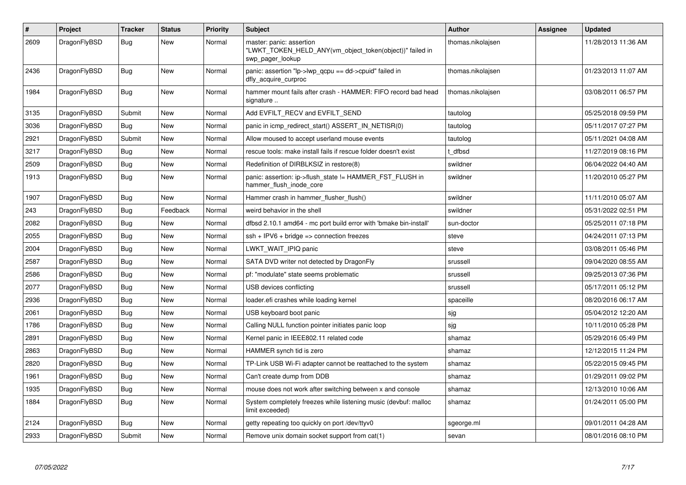| $\#$ | Project      | <b>Tracker</b> | <b>Status</b> | <b>Priority</b> | <b>Subject</b>                                                                                           | <b>Author</b>     | Assignee | <b>Updated</b>      |
|------|--------------|----------------|---------------|-----------------|----------------------------------------------------------------------------------------------------------|-------------------|----------|---------------------|
| 2609 | DragonFlyBSD | Bug            | <b>New</b>    | Normal          | master: panic: assertion<br>"LWKT_TOKEN_HELD_ANY(vm_object_token(object))" failed in<br>swp pager lookup | thomas.nikolajsen |          | 11/28/2013 11:36 AM |
| 2436 | DragonFlyBSD | Bug            | <b>New</b>    | Normal          | panic: assertion "lp->lwp_qcpu == dd->cpuid" failed in<br>dfly acquire curproc                           | thomas.nikolaisen |          | 01/23/2013 11:07 AM |
| 1984 | DragonFlyBSD | Bug            | New           | Normal          | hammer mount fails after crash - HAMMER: FIFO record bad head<br>signature                               | thomas.nikolajsen |          | 03/08/2011 06:57 PM |
| 3135 | DragonFlyBSD | Submit         | New           | Normal          | Add EVFILT RECV and EVFILT SEND                                                                          | tautolog          |          | 05/25/2018 09:59 PM |
| 3036 | DragonFlyBSD | <b>Bug</b>     | <b>New</b>    | Normal          | panic in icmp_redirect_start() ASSERT_IN_NETISR(0)                                                       | tautolog          |          | 05/11/2017 07:27 PM |
| 2921 | DragonFlyBSD | Submit         | <b>New</b>    | Normal          | Allow moused to accept userland mouse events                                                             | tautolog          |          | 05/11/2021 04:08 AM |
| 3217 | DragonFlyBSD | Bug            | <b>New</b>    | Normal          | rescue tools: make install fails if rescue folder doesn't exist                                          | t dfbsd           |          | 11/27/2019 08:16 PM |
| 2509 | DragonFlyBSD | <b>Bug</b>     | <b>New</b>    | Normal          | Redefinition of DIRBLKSIZ in restore(8)                                                                  | swildner          |          | 06/04/2022 04:40 AM |
| 1913 | DragonFlyBSD | <b>Bug</b>     | New           | Normal          | panic: assertion: ip->flush state != HAMMER FST FLUSH in<br>hammer_flush_inode_core                      | swildner          |          | 11/20/2010 05:27 PM |
| 1907 | DragonFlyBSD | <b>Bug</b>     | <b>New</b>    | Normal          | Hammer crash in hammer flusher flush()                                                                   | swildner          |          | 11/11/2010 05:07 AM |
| 243  | DragonFlyBSD | Bug            | Feedback      | Normal          | weird behavior in the shell                                                                              | swildner          |          | 05/31/2022 02:51 PM |
| 2082 | DragonFlyBSD | <b>Bug</b>     | New           | Normal          | dfbsd 2.10.1 amd64 - mc port build error with 'bmake bin-install'                                        | sun-doctor        |          | 05/25/2011 07:18 PM |
| 2055 | DragonFlyBSD | Bug            | New           | Normal          | $ssh + IPV6 + bridge \Rightarrow$ connection freezes                                                     | steve             |          | 04/24/2011 07:13 PM |
| 2004 | DragonFlyBSD | <b>Bug</b>     | New           | Normal          | LWKT_WAIT_IPIQ panic                                                                                     | steve             |          | 03/08/2011 05:46 PM |
| 2587 | DragonFlyBSD | <b>Bug</b>     | <b>New</b>    | Normal          | SATA DVD writer not detected by DragonFly                                                                | srussell          |          | 09/04/2020 08:55 AM |
| 2586 | DragonFlyBSD | Bug            | New           | Normal          | pf: "modulate" state seems problematic                                                                   | srussell          |          | 09/25/2013 07:36 PM |
| 2077 | DragonFlyBSD | <b>Bug</b>     | New           | Normal          | USB devices conflicting                                                                                  | srussell          |          | 05/17/2011 05:12 PM |
| 2936 | DragonFlyBSD | Bug            | New           | Normal          | loader.efi crashes while loading kernel                                                                  | spaceille         |          | 08/20/2016 06:17 AM |
| 2061 | DragonFlyBSD | <b>Bug</b>     | <b>New</b>    | Normal          | USB keyboard boot panic                                                                                  | sjg               |          | 05/04/2012 12:20 AM |
| 1786 | DragonFlyBSD | <b>Bug</b>     | <b>New</b>    | Normal          | Calling NULL function pointer initiates panic loop                                                       | sjg               |          | 10/11/2010 05:28 PM |
| 2891 | DragonFlyBSD | Bug            | <b>New</b>    | Normal          | Kernel panic in IEEE802.11 related code                                                                  | shamaz            |          | 05/29/2016 05:49 PM |
| 2863 | DragonFlyBSD | <b>Bug</b>     | <b>New</b>    | Normal          | HAMMER synch tid is zero                                                                                 | shamaz            |          | 12/12/2015 11:24 PM |
| 2820 | DragonFlyBSD | Bug            | New           | Normal          | TP-Link USB Wi-Fi adapter cannot be reattached to the system                                             | shamaz            |          | 05/22/2015 09:45 PM |
| 1961 | DragonFlyBSD | <b>Bug</b>     | New           | Normal          | Can't create dump from DDB                                                                               | shamaz            |          | 01/29/2011 09:02 PM |
| 1935 | DragonFlyBSD | <b>Bug</b>     | New           | Normal          | mouse does not work after switching between x and console                                                | shamaz            |          | 12/13/2010 10:06 AM |
| 1884 | DragonFlyBSD | Bug            | New           | Normal          | System completely freezes while listening music (devbuf: malloc<br>limit exceeded)                       | shamaz            |          | 01/24/2011 05:00 PM |
| 2124 | DragonFlyBSD | Bug            | New           | Normal          | getty repeating too quickly on port /dev/ttyv0                                                           | sgeorge.ml        |          | 09/01/2011 04:28 AM |
| 2933 | DragonFlyBSD | Submit         | <b>New</b>    | Normal          | Remove unix domain socket support from cat(1)                                                            | sevan             |          | 08/01/2016 08:10 PM |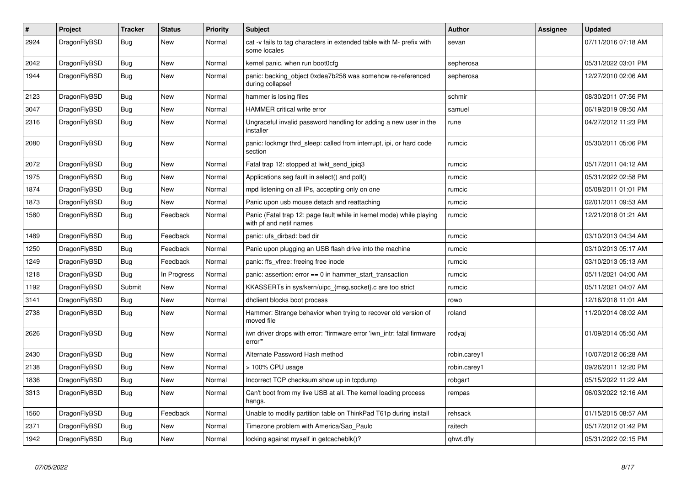| $\vert$ # | Project      | <b>Tracker</b> | <b>Status</b> | <b>Priority</b> | <b>Subject</b>                                                                                  | <b>Author</b> | Assignee | <b>Updated</b>      |
|-----------|--------------|----------------|---------------|-----------------|-------------------------------------------------------------------------------------------------|---------------|----------|---------------------|
| 2924      | DragonFlyBSD | Bug            | New           | Normal          | cat -v fails to tag characters in extended table with M- prefix with<br>some locales            | sevan         |          | 07/11/2016 07:18 AM |
| 2042      | DragonFlyBSD | Bug            | <b>New</b>    | Normal          | kernel panic, when run boot0cfg                                                                 | sepherosa     |          | 05/31/2022 03:01 PM |
| 1944      | DragonFlyBSD | <b>Bug</b>     | <b>New</b>    | Normal          | panic: backing object 0xdea7b258 was somehow re-referenced<br>during collapse!                  | sepherosa     |          | 12/27/2010 02:06 AM |
| 2123      | DragonFlyBSD | Bug            | <b>New</b>    | Normal          | hammer is losing files                                                                          | schmir        |          | 08/30/2011 07:56 PM |
| 3047      | DragonFlyBSD | <b>Bug</b>     | <b>New</b>    | Normal          | <b>HAMMER</b> critical write error                                                              | samuel        |          | 06/19/2019 09:50 AM |
| 2316      | DragonFlyBSD | <b>Bug</b>     | <b>New</b>    | Normal          | Ungraceful invalid password handling for adding a new user in the<br>installer                  | rune          |          | 04/27/2012 11:23 PM |
| 2080      | DragonFlyBSD | <b>Bug</b>     | <b>New</b>    | Normal          | panic: lockmgr thrd sleep: called from interrupt, ipi, or hard code<br>section                  | rumcic        |          | 05/30/2011 05:06 PM |
| 2072      | DragonFlyBSD | Bug            | New           | Normal          | Fatal trap 12: stopped at lwkt send ipig3                                                       | rumcic        |          | 05/17/2011 04:12 AM |
| 1975      | DragonFlyBSD | Bug            | <b>New</b>    | Normal          | Applications seg fault in select() and poll()                                                   | rumcic        |          | 05/31/2022 02:58 PM |
| 1874      | DragonFlyBSD | <b>Bug</b>     | <b>New</b>    | Normal          | mpd listening on all IPs, accepting only on one                                                 | rumcic        |          | 05/08/2011 01:01 PM |
| 1873      | DragonFlyBSD | Bug            | <b>New</b>    | Normal          | Panic upon usb mouse detach and reattaching                                                     | rumcic        |          | 02/01/2011 09:53 AM |
| 1580      | DragonFlyBSD | <b>Bug</b>     | Feedback      | Normal          | Panic (Fatal trap 12: page fault while in kernel mode) while playing<br>with pf and netif names | rumcic        |          | 12/21/2018 01:21 AM |
| 1489      | DragonFlyBSD | Bug            | Feedback      | Normal          | panic: ufs dirbad: bad dir                                                                      | rumcic        |          | 03/10/2013 04:34 AM |
| 1250      | DragonFlyBSD | Bug            | Feedback      | Normal          | Panic upon plugging an USB flash drive into the machine                                         | rumcic        |          | 03/10/2013 05:17 AM |
| 1249      | DragonFlyBSD | <b>Bug</b>     | Feedback      | Normal          | panic: ffs_vfree: freeing free inode                                                            | rumcic        |          | 03/10/2013 05:13 AM |
| 1218      | DragonFlyBSD | Bug            | In Progress   | Normal          | panic: assertion: $error == 0$ in hammer start transaction                                      | rumcic        |          | 05/11/2021 04:00 AM |
| 1192      | DragonFlyBSD | Submit         | New           | Normal          | KKASSERTs in sys/kern/uipc_{msg,socket}.c are too strict                                        | rumcic        |          | 05/11/2021 04:07 AM |
| 3141      | DragonFlyBSD | <b>Bug</b>     | New           | Normal          | dhclient blocks boot process                                                                    | rowo          |          | 12/16/2018 11:01 AM |
| 2738      | DragonFlyBSD | <b>Bug</b>     | <b>New</b>    | Normal          | Hammer: Strange behavior when trying to recover old version of<br>moved file                    | roland        |          | 11/20/2014 08:02 AM |
| 2626      | DragonFlyBSD | <b>Bug</b>     | New           | Normal          | iwn driver drops with error: "firmware error 'iwn_intr: fatal firmware<br>error""               | rodyaj        |          | 01/09/2014 05:50 AM |
| 2430      | DragonFlyBSD | Bug            | <b>New</b>    | Normal          | Alternate Password Hash method                                                                  | robin.carey1  |          | 10/07/2012 06:28 AM |
| 2138      | DragonFlyBSD | <b>Bug</b>     | <b>New</b>    | Normal          | > 100% CPU usage                                                                                | robin.carey1  |          | 09/26/2011 12:20 PM |
| 1836      | DragonFlyBSD | Bug            | New           | Normal          | Incorrect TCP checksum show up in tcpdump                                                       | robgar1       |          | 05/15/2022 11:22 AM |
| 3313      | DragonFlyBSD | Bug            | New           | Normal          | Can't boot from my live USB at all. The kernel loading process<br>hangs.                        | rempas        |          | 06/03/2022 12:16 AM |
| 1560      | DragonFlyBSD | Bug            | Feedback      | Normal          | Unable to modify partition table on ThinkPad T61p during install                                | rehsack       |          | 01/15/2015 08:57 AM |
| 2371      | DragonFlyBSD | Bug            | New           | Normal          | Timezone problem with America/Sao Paulo                                                         | raitech       |          | 05/17/2012 01:42 PM |
| 1942      | DragonFlyBSD | Bug            | New           | Normal          | locking against myself in getcacheblk()?                                                        | qhwt.dfly     |          | 05/31/2022 02:15 PM |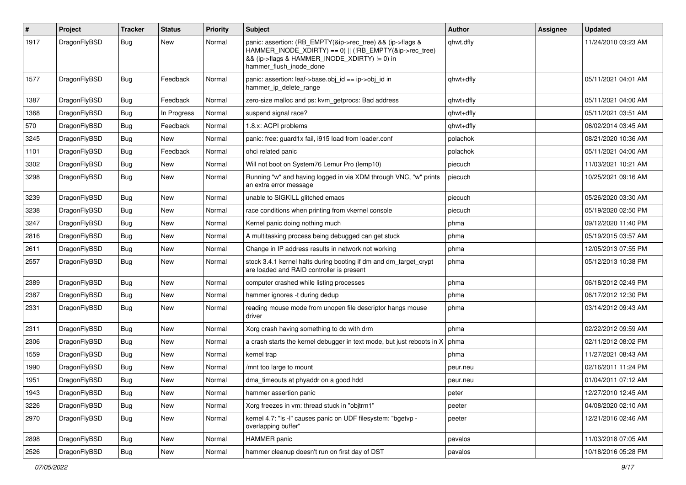| #    | Project      | <b>Tracker</b> | <b>Status</b> | <b>Priority</b> | Subject                                                                                                                                                                                           | <b>Author</b> | Assignee | <b>Updated</b>      |
|------|--------------|----------------|---------------|-----------------|---------------------------------------------------------------------------------------------------------------------------------------------------------------------------------------------------|---------------|----------|---------------------|
| 1917 | DragonFlyBSD | Bug            | <b>New</b>    | Normal          | panic: assertion: (RB_EMPTY(&ip->rec_tree) && (ip->flags &<br>HAMMER INODE XDIRTY) == 0)    (!RB EMPTY(&ip->rec tree)<br>&& (ip->flags & HAMMER_INODE_XDIRTY) != 0) in<br>hammer_flush_inode_done | qhwt.dfly     |          | 11/24/2010 03:23 AM |
| 1577 | DragonFlyBSD | Bug            | Feedback      | Normal          | panic: assertion: leaf->base.obj id == ip->obj id in<br>hammer_ip_delete_range                                                                                                                    | qhwt+dfly     |          | 05/11/2021 04:01 AM |
| 1387 | DragonFlyBSD | Bug            | Feedback      | Normal          | zero-size malloc and ps: kvm getprocs: Bad address                                                                                                                                                | qhwt+dfly     |          | 05/11/2021 04:00 AM |
| 1368 | DragonFlyBSD | <b>Bug</b>     | In Progress   | Normal          | suspend signal race?                                                                                                                                                                              | qhwt+dfly     |          | 05/11/2021 03:51 AM |
| 570  | DragonFlyBSD | <b>Bug</b>     | Feedback      | Normal          | 1.8.x: ACPI problems                                                                                                                                                                              | qhwt+dfly     |          | 06/02/2014 03:45 AM |
| 3245 | DragonFlyBSD | <b>Bug</b>     | <b>New</b>    | Normal          | panic: free: guard1x fail, i915 load from loader.conf                                                                                                                                             | polachok      |          | 08/21/2020 10:36 AM |
| 1101 | DragonFlyBSD | Bug            | Feedback      | Normal          | ohci related panic                                                                                                                                                                                | polachok      |          | 05/11/2021 04:00 AM |
| 3302 | DragonFlyBSD | <b>Bug</b>     | <b>New</b>    | Normal          | Will not boot on System76 Lemur Pro (lemp10)                                                                                                                                                      | piecuch       |          | 11/03/2021 10:21 AM |
| 3298 | DragonFlyBSD | Bug            | <b>New</b>    | Normal          | Running "w" and having logged in via XDM through VNC, "w" prints<br>an extra error message                                                                                                        | piecuch       |          | 10/25/2021 09:16 AM |
| 3239 | DragonFlyBSD | Bug            | <b>New</b>    | Normal          | unable to SIGKILL glitched emacs                                                                                                                                                                  | piecuch       |          | 05/26/2020 03:30 AM |
| 3238 | DragonFlyBSD | <b>Bug</b>     | <b>New</b>    | Normal          | race conditions when printing from vkernel console                                                                                                                                                | piecuch       |          | 05/19/2020 02:50 PM |
| 3247 | DragonFlyBSD | <b>Bug</b>     | <b>New</b>    | Normal          | Kernel panic doing nothing much                                                                                                                                                                   | phma          |          | 09/12/2020 11:40 PM |
| 2816 | DragonFlyBSD | <b>Bug</b>     | <b>New</b>    | Normal          | A multitasking process being debugged can get stuck                                                                                                                                               | phma          |          | 05/19/2015 03:57 AM |
| 2611 | DragonFlyBSD | Bug            | New           | Normal          | Change in IP address results in network not working                                                                                                                                               | phma          |          | 12/05/2013 07:55 PM |
| 2557 | DragonFlyBSD | Bug            | New           | Normal          | stock 3.4.1 kernel halts during booting if dm and dm target crypt<br>are loaded and RAID controller is present                                                                                    | phma          |          | 05/12/2013 10:38 PM |
| 2389 | DragonFlyBSD | <b>Bug</b>     | <b>New</b>    | Normal          | computer crashed while listing processes                                                                                                                                                          | phma          |          | 06/18/2012 02:49 PM |
| 2387 | DragonFlyBSD | <b>Bug</b>     | <b>New</b>    | Normal          | hammer ignores -t during dedup                                                                                                                                                                    | phma          |          | 06/17/2012 12:30 PM |
| 2331 | DragonFlyBSD | <b>Bug</b>     | New           | Normal          | reading mouse mode from unopen file descriptor hangs mouse<br>driver                                                                                                                              | phma          |          | 03/14/2012 09:43 AM |
| 2311 | DragonFlyBSD | <b>Bug</b>     | <b>New</b>    | Normal          | Xorg crash having something to do with drm                                                                                                                                                        | phma          |          | 02/22/2012 09:59 AM |
| 2306 | DragonFlyBSD | Bug            | <b>New</b>    | Normal          | a crash starts the kernel debugger in text mode, but just reboots in X                                                                                                                            | phma          |          | 02/11/2012 08:02 PM |
| 1559 | DragonFlyBSD | <b>Bug</b>     | <b>New</b>    | Normal          | kernel trap                                                                                                                                                                                       | phma          |          | 11/27/2021 08:43 AM |
| 1990 | DragonFlyBSD | <b>Bug</b>     | <b>New</b>    | Normal          | /mnt too large to mount                                                                                                                                                                           | peur.neu      |          | 02/16/2011 11:24 PM |
| 1951 | DragonFlyBSD | <b>Bug</b>     | New           | Normal          | dma timeouts at phyaddr on a good hdd                                                                                                                                                             | peur.neu      |          | 01/04/2011 07:12 AM |
| 1943 | DragonFlyBSD | Bug            | <b>New</b>    | Normal          | hammer assertion panic                                                                                                                                                                            | peter         |          | 12/27/2010 12:45 AM |
| 3226 | DragonFlyBSD | <b>Bug</b>     | New           | Normal          | Xorg freezes in vm: thread stuck in "objtrm1"                                                                                                                                                     | peeter        |          | 04/08/2020 02:10 AM |
| 2970 | DragonFlyBSD | <b>Bug</b>     | New           | Normal          | kernel 4.7: "Is -I" causes panic on UDF filesystem: "bgetvp -<br>overlapping buffer"                                                                                                              | peeter        |          | 12/21/2016 02:46 AM |
| 2898 | DragonFlyBSD | Bug            | New           | Normal          | HAMMER panic                                                                                                                                                                                      | pavalos       |          | 11/03/2018 07:05 AM |
| 2526 | DragonFlyBSD | <b>Bug</b>     | New           | Normal          | hammer cleanup doesn't run on first day of DST                                                                                                                                                    | pavalos       |          | 10/18/2016 05:28 PM |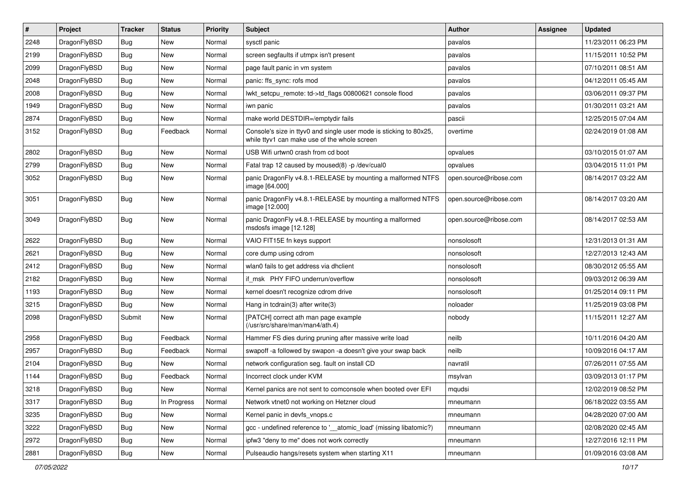| $\sharp$ | Project      | <b>Tracker</b> | <b>Status</b> | <b>Priority</b> | Subject                                                                                                            | <b>Author</b>          | Assignee | <b>Updated</b>      |
|----------|--------------|----------------|---------------|-----------------|--------------------------------------------------------------------------------------------------------------------|------------------------|----------|---------------------|
| 2248     | DragonFlyBSD | <b>Bug</b>     | New           | Normal          | sysctl panic                                                                                                       | pavalos                |          | 11/23/2011 06:23 PM |
| 2199     | DragonFlyBSD | Bug            | New           | Normal          | screen segfaults if utmpx isn't present                                                                            | pavalos                |          | 11/15/2011 10:52 PM |
| 2099     | DragonFlyBSD | <b>Bug</b>     | New           | Normal          | page fault panic in vm system                                                                                      | pavalos                |          | 07/10/2011 08:51 AM |
| 2048     | DragonFlyBSD | <b>Bug</b>     | <b>New</b>    | Normal          | panic: ffs_sync: rofs mod                                                                                          | pavalos                |          | 04/12/2011 05:45 AM |
| 2008     | DragonFlyBSD | Bug            | <b>New</b>    | Normal          | lwkt_setcpu_remote: td->td_flags 00800621 console flood                                                            | pavalos                |          | 03/06/2011 09:37 PM |
| 1949     | DragonFlyBSD | <b>Bug</b>     | <b>New</b>    | Normal          | iwn panic                                                                                                          | pavalos                |          | 01/30/2011 03:21 AM |
| 2874     | DragonFlyBSD | <b>Bug</b>     | New           | Normal          | make world DESTDIR=/emptydir fails                                                                                 | pascii                 |          | 12/25/2015 07:04 AM |
| 3152     | DragonFlyBSD | <b>Bug</b>     | Feedback      | Normal          | Console's size in ttyv0 and single user mode is sticking to 80x25,<br>while ttyv1 can make use of the whole screen | overtime               |          | 02/24/2019 01:08 AM |
| 2802     | DragonFlyBSD | Bug            | <b>New</b>    | Normal          | USB Wifi urtwn0 crash from cd boot                                                                                 | opvalues               |          | 03/10/2015 01:07 AM |
| 2799     | DragonFlyBSD | <b>Bug</b>     | New           | Normal          | Fatal trap 12 caused by moused(8) -p /dev/cual0                                                                    | opvalues               |          | 03/04/2015 11:01 PM |
| 3052     | DragonFlyBSD | <b>Bug</b>     | <b>New</b>    | Normal          | panic DragonFly v4.8.1-RELEASE by mounting a malformed NTFS<br>image [64.000]                                      | open.source@ribose.com |          | 08/14/2017 03:22 AM |
| 3051     | DragonFlyBSD | Bug            | New           | Normal          | panic DragonFly v4.8.1-RELEASE by mounting a malformed NTFS<br>image [12.000]                                      | open.source@ribose.com |          | 08/14/2017 03:20 AM |
| 3049     | DragonFlyBSD | Bug            | <b>New</b>    | Normal          | panic DragonFly v4.8.1-RELEASE by mounting a malformed<br>msdosfs image [12.128]                                   | open.source@ribose.com |          | 08/14/2017 02:53 AM |
| 2622     | DragonFlyBSD | Bug            | <b>New</b>    | Normal          | VAIO FIT15E fn keys support                                                                                        | nonsolosoft            |          | 12/31/2013 01:31 AM |
| 2621     | DragonFlyBSD | <b>Bug</b>     | <b>New</b>    | Normal          | core dump using cdrom                                                                                              | nonsolosoft            |          | 12/27/2013 12:43 AM |
| 2412     | DragonFlyBSD | <b>Bug</b>     | New           | Normal          | wlan0 fails to get address via dhclient                                                                            | nonsolosoft            |          | 08/30/2012 05:55 AM |
| 2182     | DragonFlyBSD | Bug            | <b>New</b>    | Normal          | if msk PHY FIFO underrun/overflow                                                                                  | nonsolosoft            |          | 09/03/2012 06:39 AM |
| 1193     | DragonFlyBSD | <b>Bug</b>     | New           | Normal          | kernel doesn't recognize cdrom drive                                                                               | nonsolosoft            |          | 01/25/2014 09:11 PM |
| 3215     | DragonFlyBSD | Bug            | New           | Normal          | Hang in tcdrain(3) after write(3)                                                                                  | noloader               |          | 11/25/2019 03:08 PM |
| 2098     | DragonFlyBSD | Submit         | <b>New</b>    | Normal          | [PATCH] correct ath man page example<br>(/usr/src/share/man/man4/ath.4)                                            | nobody                 |          | 11/15/2011 12:27 AM |
| 2958     | DragonFlyBSD | Bug            | Feedback      | Normal          | Hammer FS dies during pruning after massive write load                                                             | neilb                  |          | 10/11/2016 04:20 AM |
| 2957     | DragonFlyBSD | <b>Bug</b>     | Feedback      | Normal          | swapoff -a followed by swapon -a doesn't give your swap back                                                       | neilb                  |          | 10/09/2016 04:17 AM |
| 2104     | DragonFlyBSD | <b>Bug</b>     | New           | Normal          | network configuration seg. fault on install CD                                                                     | navratil               |          | 07/26/2011 07:55 AM |
| 1144     | DragonFlyBSD | <b>Bug</b>     | Feedback      | Normal          | Incorrect clock under KVM                                                                                          | msylvan                |          | 03/09/2013 01:17 PM |
| 3218     | DragonFlyBSD | <b>Bug</b>     | <b>New</b>    | Normal          | Kernel panics are not sent to comconsole when booted over EFI                                                      | mqudsi                 |          | 12/02/2019 08:52 PM |
| 3317     | DragonFlyBSD | <b>Bug</b>     | In Progress   | Normal          | Network vtnet0 not working on Hetzner cloud                                                                        | mneumann               |          | 06/18/2022 03:55 AM |
| 3235     | DragonFlyBSD | <b>Bug</b>     | New           | Normal          | Kernel panic in devfs vnops.c                                                                                      | mneumann               |          | 04/28/2020 07:00 AM |
| 3222     | DragonFlyBSD | <b>Bug</b>     | New           | Normal          | gcc - undefined reference to '__atomic_load' (missing libatomic?)                                                  | mneumann               |          | 02/08/2020 02:45 AM |
| 2972     | DragonFlyBSD | <b>Bug</b>     | <b>New</b>    | Normal          | ipfw3 "deny to me" does not work correctly                                                                         | mneumann               |          | 12/27/2016 12:11 PM |
| 2881     | DragonFlyBSD | <b>Bug</b>     | New           | Normal          | Pulseaudio hangs/resets system when starting X11                                                                   | mneumann               |          | 01/09/2016 03:08 AM |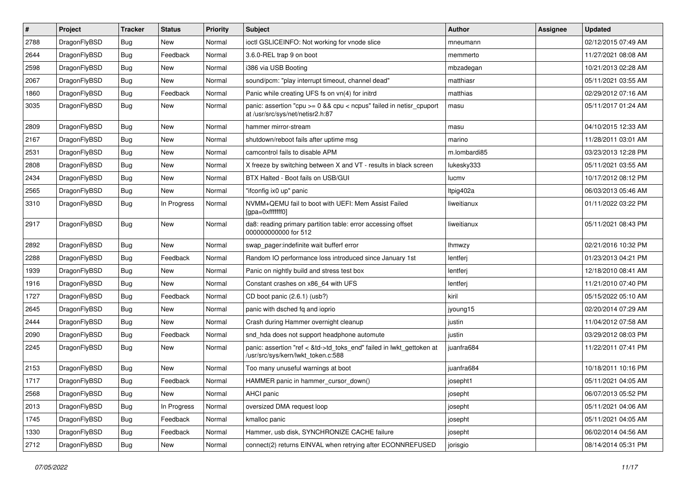| #    | Project      | <b>Tracker</b> | <b>Status</b> | <b>Priority</b> | <b>Subject</b>                                                                                             | <b>Author</b> | Assignee | <b>Updated</b>      |
|------|--------------|----------------|---------------|-----------------|------------------------------------------------------------------------------------------------------------|---------------|----------|---------------------|
| 2788 | DragonFlyBSD | Bug            | <b>New</b>    | Normal          | ioctl GSLICEINFO: Not working for vnode slice                                                              | mneumann      |          | 02/12/2015 07:49 AM |
| 2644 | DragonFlyBSD | <b>Bug</b>     | Feedback      | Normal          | 3.6.0-REL trap 9 on boot                                                                                   | memmerto      |          | 11/27/2021 08:08 AM |
| 2598 | DragonFlyBSD | <b>Bug</b>     | <b>New</b>    | Normal          | i386 via USB Booting                                                                                       | mbzadegan     |          | 10/21/2013 02:28 AM |
| 2067 | DragonFlyBSD | Bug            | <b>New</b>    | Normal          | sound/pcm: "play interrupt timeout, channel dead"                                                          | matthiasr     |          | 05/11/2021 03:55 AM |
| 1860 | DragonFlyBSD | <b>Bug</b>     | Feedback      | Normal          | Panic while creating UFS fs on vn(4) for initrd                                                            | matthias      |          | 02/29/2012 07:16 AM |
| 3035 | DragonFlyBSD | Bug            | New           | Normal          | panic: assertion "cpu $>= 0$ && cpu < ncpus" failed in netisr cpuport<br>at /usr/src/sys/net/netisr2.h:87  | masu          |          | 05/11/2017 01:24 AM |
| 2809 | DragonFlyBSD | Bug            | <b>New</b>    | Normal          | hammer mirror-stream                                                                                       | masu          |          | 04/10/2015 12:33 AM |
| 2167 | DragonFlyBSD | <b>Bug</b>     | <b>New</b>    | Normal          | shutdown/reboot fails after uptime msg                                                                     | marino        |          | 11/28/2011 03:01 AM |
| 2531 | DragonFlyBSD | <b>Bug</b>     | <b>New</b>    | Normal          | camcontrol fails to disable APM                                                                            | m.lombardi85  |          | 03/23/2013 12:28 PM |
| 2808 | DragonFlyBSD | <b>Bug</b>     | <b>New</b>    | Normal          | X freeze by switching between X and VT - results in black screen                                           | lukesky333    |          | 05/11/2021 03:55 AM |
| 2434 | DragonFlyBSD | Bug            | <b>New</b>    | Normal          | BTX Halted - Boot fails on USB/GUI                                                                         | lucmv         |          | 10/17/2012 08:12 PM |
| 2565 | DragonFlyBSD | <b>Bug</b>     | <b>New</b>    | Normal          | "ifconfig ix0 up" panic                                                                                    | Itpig402a     |          | 06/03/2013 05:46 AM |
| 3310 | DragonFlyBSD | Bug            | In Progress   | Normal          | NVMM+QEMU fail to boot with UEFI: Mem Assist Failed<br>[gpa=0xfffffff0]                                    | liweitianux   |          | 01/11/2022 03:22 PM |
| 2917 | DragonFlyBSD | <b>Bug</b>     | New           | Normal          | da8: reading primary partition table: error accessing offset<br>000000000000 for 512                       | liweitianux   |          | 05/11/2021 08:43 PM |
| 2892 | DragonFlyBSD | <b>Bug</b>     | <b>New</b>    | Normal          | swap_pager:indefinite wait bufferf error                                                                   | lhmwzy        |          | 02/21/2016 10:32 PM |
| 2288 | DragonFlyBSD | <b>Bug</b>     | Feedback      | Normal          | Random IO performance loss introduced since January 1st                                                    | lentferj      |          | 01/23/2013 04:21 PM |
| 1939 | DragonFlyBSD | Bug            | <b>New</b>    | Normal          | Panic on nightly build and stress test box                                                                 | lentferj      |          | 12/18/2010 08:41 AM |
| 1916 | DragonFlyBSD | Bug            | <b>New</b>    | Normal          | Constant crashes on x86_64 with UFS                                                                        | lentferj      |          | 11/21/2010 07:40 PM |
| 1727 | DragonFlyBSD | <b>Bug</b>     | Feedback      | Normal          | CD boot panic (2.6.1) (usb?)                                                                               | kiril         |          | 05/15/2022 05:10 AM |
| 2645 | DragonFlyBSD | <b>Bug</b>     | <b>New</b>    | Normal          | panic with dsched fq and ioprio                                                                            | jyoung15      |          | 02/20/2014 07:29 AM |
| 2444 | DragonFlyBSD | <b>Bug</b>     | <b>New</b>    | Normal          | Crash during Hammer overnight cleanup                                                                      | justin        |          | 11/04/2012 07:58 AM |
| 2090 | DragonFlyBSD | <b>Bug</b>     | Feedback      | Normal          | snd_hda does not support headphone automute                                                                | justin        |          | 03/29/2012 08:03 PM |
| 2245 | DragonFlyBSD | <b>Bug</b>     | <b>New</b>    | Normal          | panic: assertion "ref < &td->td_toks_end" failed in lwkt_gettoken at<br>/usr/src/sys/kern/lwkt_token.c:588 | juanfra684    |          | 11/22/2011 07:41 PM |
| 2153 | DragonFlyBSD | Bug            | <b>New</b>    | Normal          | Too many unuseful warnings at boot                                                                         | juanfra684    |          | 10/18/2011 10:16 PM |
| 1717 | DragonFlyBSD | <b>Bug</b>     | Feedback      | Normal          | HAMMER panic in hammer_cursor_down()                                                                       | josepht1      |          | 05/11/2021 04:05 AM |
| 2568 | DragonFlyBSD | <b>Bug</b>     | New           | Normal          | AHCI panic                                                                                                 | josepht       |          | 06/07/2013 05:52 PM |
| 2013 | DragonFlyBSD | Bug            | In Progress   | Normal          | oversized DMA request loop                                                                                 | josepht       |          | 05/11/2021 04:06 AM |
| 1745 | DragonFlyBSD | <b>Bug</b>     | Feedback      | Normal          | kmalloc panic                                                                                              | josepht       |          | 05/11/2021 04:05 AM |
| 1330 | DragonFlyBSD | <b>Bug</b>     | Feedback      | Normal          | Hammer, usb disk, SYNCHRONIZE CACHE failure                                                                | josepht       |          | 06/02/2014 04:56 AM |
| 2712 | DragonFlyBSD | <b>Bug</b>     | New           | Normal          | connect(2) returns EINVAL when retrying after ECONNREFUSED                                                 | jorisgio      |          | 08/14/2014 05:31 PM |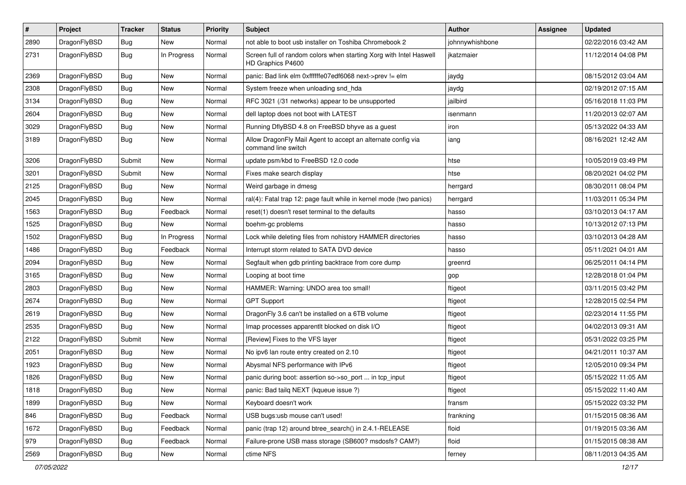| $\pmb{\#}$ | Project      | <b>Tracker</b> | <b>Status</b> | <b>Priority</b> | <b>Subject</b>                                                                          | <b>Author</b>   | <b>Assignee</b> | <b>Updated</b>      |
|------------|--------------|----------------|---------------|-----------------|-----------------------------------------------------------------------------------------|-----------------|-----------------|---------------------|
| 2890       | DragonFlyBSD | Bug            | New           | Normal          | not able to boot usb installer on Toshiba Chromebook 2                                  | johnnywhishbone |                 | 02/22/2016 03:42 AM |
| 2731       | DragonFlyBSD | Bug            | In Progress   | Normal          | Screen full of random colors when starting Xorg with Intel Haswell<br>HD Graphics P4600 | ikatzmaier      |                 | 11/12/2014 04:08 PM |
| 2369       | DragonFlyBSD | Bug            | <b>New</b>    | Normal          | panic: Bad link elm 0xffffffe07edf6068 next->prev != elm                                | jaydg           |                 | 08/15/2012 03:04 AM |
| 2308       | DragonFlyBSD | Bug            | <b>New</b>    | Normal          | System freeze when unloading snd_hda                                                    | jaydg           |                 | 02/19/2012 07:15 AM |
| 3134       | DragonFlyBSD | <b>Bug</b>     | New           | Normal          | RFC 3021 (/31 networks) appear to be unsupported                                        | jailbird        |                 | 05/16/2018 11:03 PM |
| 2604       | DragonFlyBSD | Bug            | <b>New</b>    | Normal          | dell laptop does not boot with LATEST                                                   | isenmann        |                 | 11/20/2013 02:07 AM |
| 3029       | DragonFlyBSD | <b>Bug</b>     | New           | Normal          | Running DflyBSD 4.8 on FreeBSD bhyve as a guest                                         | iron            |                 | 05/13/2022 04:33 AM |
| 3189       | DragonFlyBSD | Bug            | <b>New</b>    | Normal          | Allow DragonFly Mail Agent to accept an alternate config via<br>command line switch     | iang            |                 | 08/16/2021 12:42 AM |
| 3206       | DragonFlyBSD | Submit         | New           | Normal          | update psm/kbd to FreeBSD 12.0 code                                                     | htse            |                 | 10/05/2019 03:49 PM |
| 3201       | DragonFlyBSD | Submit         | New           | Normal          | Fixes make search display                                                               | htse            |                 | 08/20/2021 04:02 PM |
| 2125       | DragonFlyBSD | Bug            | <b>New</b>    | Normal          | Weird garbage in dmesg                                                                  | herrgard        |                 | 08/30/2011 08:04 PM |
| 2045       | DragonFlyBSD | <b>Bug</b>     | New           | Normal          | ral(4): Fatal trap 12: page fault while in kernel mode (two panics)                     | herrgard        |                 | 11/03/2011 05:34 PM |
| 1563       | DragonFlyBSD | Bug            | Feedback      | Normal          | reset(1) doesn't reset terminal to the defaults                                         | hasso           |                 | 03/10/2013 04:17 AM |
| 1525       | DragonFlyBSD | Bug            | New           | Normal          | boehm-gc problems                                                                       | hasso           |                 | 10/13/2012 07:13 PM |
| 1502       | DragonFlyBSD | Bug            | In Progress   | Normal          | Lock while deleting files from nohistory HAMMER directories                             | hasso           |                 | 03/10/2013 04:28 AM |
| 1486       | DragonFlyBSD | Bug            | Feedback      | Normal          | Interrupt storm related to SATA DVD device                                              | hasso           |                 | 05/11/2021 04:01 AM |
| 2094       | DragonFlyBSD | Bug            | New           | Normal          | Segfault when gdb printing backtrace from core dump                                     | greenrd         |                 | 06/25/2011 04:14 PM |
| 3165       | DragonFlyBSD | Bug            | <b>New</b>    | Normal          | Looping at boot time                                                                    | gop             |                 | 12/28/2018 01:04 PM |
| 2803       | DragonFlyBSD | Bug            | <b>New</b>    | Normal          | HAMMER: Warning: UNDO area too small!                                                   | ftigeot         |                 | 03/11/2015 03:42 PM |
| 2674       | DragonFlyBSD | Bug            | New           | Normal          | <b>GPT Support</b>                                                                      | ftigeot         |                 | 12/28/2015 02:54 PM |
| 2619       | DragonFlyBSD | Bug            | New           | Normal          | DragonFly 3.6 can't be installed on a 6TB volume                                        | ftigeot         |                 | 02/23/2014 11:55 PM |
| 2535       | DragonFlyBSD | Bug            | <b>New</b>    | Normal          | Imap processes apparentlt blocked on disk I/O                                           | ftigeot         |                 | 04/02/2013 09:31 AM |
| 2122       | DragonFlyBSD | Submit         | <b>New</b>    | Normal          | [Review] Fixes to the VFS layer                                                         | ftigeot         |                 | 05/31/2022 03:25 PM |
| 2051       | DragonFlyBSD | Bug            | <b>New</b>    | Normal          | No ipv6 lan route entry created on 2.10                                                 | ftigeot         |                 | 04/21/2011 10:37 AM |
| 1923       | DragonFlyBSD | Bug            | New           | Normal          | Abysmal NFS performance with IPv6                                                       | ftigeot         |                 | 12/05/2010 09:34 PM |
| 1826       | DragonFlyBSD | Bug            | New           | Normal          | panic during boot: assertion so->so_port  in tcp_input                                  | ftigeot         |                 | 05/15/2022 11:05 AM |
| 1818       | DragonFlyBSD | Bug            | New           | Normal          | panic: Bad tailq NEXT (kqueue issue ?)                                                  | ftigeot         |                 | 05/15/2022 11:40 AM |
| 1899       | DragonFlyBSD | <b>Bug</b>     | New           | Normal          | Keyboard doesn't work                                                                   | fransm          |                 | 05/15/2022 03:32 PM |
| 846        | DragonFlyBSD | Bug            | Feedback      | Normal          | USB bugs:usb mouse can't used!                                                          | frankning       |                 | 01/15/2015 08:36 AM |
| 1672       | DragonFlyBSD | <b>Bug</b>     | Feedback      | Normal          | panic (trap 12) around btree_search() in 2.4.1-RELEASE                                  | floid           |                 | 01/19/2015 03:36 AM |
| 979        | DragonFlyBSD | <b>Bug</b>     | Feedback      | Normal          | Failure-prone USB mass storage (SB600? msdosfs? CAM?)                                   | floid           |                 | 01/15/2015 08:38 AM |
| 2569       | DragonFlyBSD | Bug            | New           | Normal          | ctime NFS                                                                               | ferney          |                 | 08/11/2013 04:35 AM |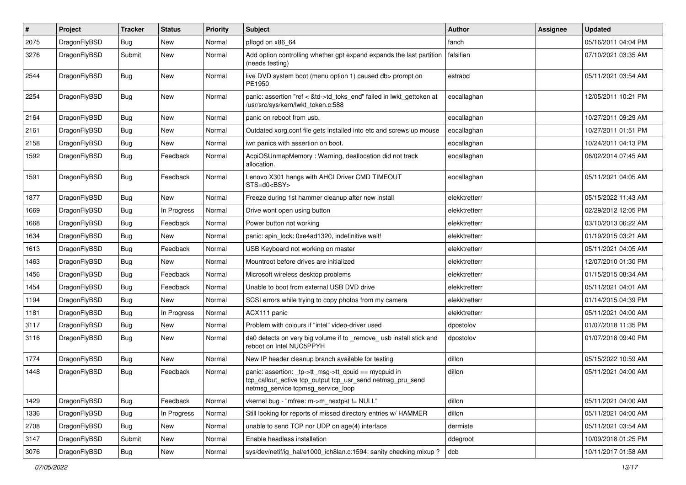| $\pmb{\#}$ | Project      | <b>Tracker</b> | <b>Status</b> | <b>Priority</b> | Subject                                                                                                                                                   | Author        | Assignee | <b>Updated</b>      |
|------------|--------------|----------------|---------------|-----------------|-----------------------------------------------------------------------------------------------------------------------------------------------------------|---------------|----------|---------------------|
| 2075       | DragonFlyBSD | Bug            | <b>New</b>    | Normal          | pflogd on x86_64                                                                                                                                          | fanch         |          | 05/16/2011 04:04 PM |
| 3276       | DragonFlyBSD | Submit         | New           | Normal          | Add option controlling whether gpt expand expands the last partition<br>(needs testing)                                                                   | falsifian     |          | 07/10/2021 03:35 AM |
| 2544       | DragonFlyBSD | Bug            | New           | Normal          | live DVD system boot (menu option 1) caused db> prompt on<br>PE1950                                                                                       | estrabd       |          | 05/11/2021 03:54 AM |
| 2254       | DragonFlyBSD | Bug            | New           | Normal          | panic: assertion "ref < &td->td_toks_end" failed in lwkt_gettoken at<br>/usr/src/sys/kern/lwkt_token.c:588                                                | eocallaghan   |          | 12/05/2011 10:21 PM |
| 2164       | DragonFlyBSD | <b>Bug</b>     | <b>New</b>    | Normal          | panic on reboot from usb.                                                                                                                                 | eocallaghan   |          | 10/27/2011 09:29 AM |
| 2161       | DragonFlyBSD | Bug            | <b>New</b>    | Normal          | Outdated xorg.conf file gets installed into etc and screws up mouse                                                                                       | eocallaghan   |          | 10/27/2011 01:51 PM |
| 2158       | DragonFlyBSD | Bug            | <b>New</b>    | Normal          | iwn panics with assertion on boot.                                                                                                                        | eocallaghan   |          | 10/24/2011 04:13 PM |
| 1592       | DragonFlyBSD | Bug            | Feedback      | Normal          | AcpiOSUnmapMemory: Warning, deallocation did not track<br>allocation.                                                                                     | eocallaghan   |          | 06/02/2014 07:45 AM |
| 1591       | DragonFlyBSD | Bug            | Feedback      | Normal          | Lenovo X301 hangs with AHCI Driver CMD TIMEOUT<br>STS=d0 <bsy></bsy>                                                                                      | eocallaghan   |          | 05/11/2021 04:05 AM |
| 1877       | DragonFlyBSD | Bug            | New           | Normal          | Freeze during 1st hammer cleanup after new install                                                                                                        | elekktretterr |          | 05/15/2022 11:43 AM |
| 1669       | DragonFlyBSD | <b>Bug</b>     | In Progress   | Normal          | Drive wont open using button                                                                                                                              | elekktretterr |          | 02/29/2012 12:05 PM |
| 1668       | DragonFlyBSD | Bug            | Feedback      | Normal          | Power button not working                                                                                                                                  | elekktretterr |          | 03/10/2013 06:22 AM |
| 1634       | DragonFlyBSD | <b>Bug</b>     | New           | Normal          | panic: spin lock: 0xe4ad1320, indefinitive wait!                                                                                                          | elekktretterr |          | 01/19/2015 03:21 AM |
| 1613       | DragonFlyBSD | Bug            | Feedback      | Normal          | USB Keyboard not working on master                                                                                                                        | elekktretterr |          | 05/11/2021 04:05 AM |
| 1463       | DragonFlyBSD | Bug            | New           | Normal          | Mountroot before drives are initialized                                                                                                                   | elekktretterr |          | 12/07/2010 01:30 PM |
| 1456       | DragonFlyBSD | <b>Bug</b>     | Feedback      | Normal          | Microsoft wireless desktop problems                                                                                                                       | elekktretterr |          | 01/15/2015 08:34 AM |
| 1454       | DragonFlyBSD | Bug            | Feedback      | Normal          | Unable to boot from external USB DVD drive                                                                                                                | elekktretterr |          | 05/11/2021 04:01 AM |
| 1194       | DragonFlyBSD | Bug            | <b>New</b>    | Normal          | SCSI errors while trying to copy photos from my camera                                                                                                    | elekktretterr |          | 01/14/2015 04:39 PM |
| 1181       | DragonFlyBSD | Bug            | In Progress   | Normal          | ACX111 panic                                                                                                                                              | elekktretterr |          | 05/11/2021 04:00 AM |
| 3117       | DragonFlyBSD | Bug            | New           | Normal          | Problem with colours if "intel" video-driver used                                                                                                         | dpostolov     |          | 01/07/2018 11:35 PM |
| 3116       | DragonFlyBSD | Bug            | <b>New</b>    | Normal          | da0 detects on very big volume if to remove usb install stick and<br>reboot on Intel NUC5PPYH                                                             | dpostolov     |          | 01/07/2018 09:40 PM |
| 1774       | DragonFlyBSD | Bug            | <b>New</b>    | Normal          | New IP header cleanup branch available for testing                                                                                                        | dillon        |          | 05/15/2022 10:59 AM |
| 1448       | DragonFlyBSD | Bug            | Feedback      | Normal          | panic: assertion: _tp->tt_msg->tt_cpuid == mycpuid in<br>tcp_callout_active tcp_output tcp_usr_send netmsg_pru_send<br>netmsg_service tcpmsg_service_loop | dillon        |          | 05/11/2021 04:00 AM |
| 1429       | DragonFlyBSD | <b>Bug</b>     | Feedback      | Normal          | vkernel bug - "mfree: m->m_nextpkt != NULL"                                                                                                               | dillon        |          | 05/11/2021 04:00 AM |
| 1336       | DragonFlyBSD | <b>Bug</b>     | In Progress   | Normal          | Still looking for reports of missed directory entries w/ HAMMER                                                                                           | dillon        |          | 05/11/2021 04:00 AM |
| 2708       | DragonFlyBSD | <b>Bug</b>     | New           | Normal          | unable to send TCP nor UDP on age(4) interface                                                                                                            | dermiste      |          | 05/11/2021 03:54 AM |
| 3147       | DragonFlyBSD | Submit         | New           | Normal          | Enable headless installation                                                                                                                              | ddegroot      |          | 10/09/2018 01:25 PM |
| 3076       | DragonFlyBSD | Bug            | New           | Normal          | sys/dev/netif/ig_hal/e1000_ich8lan.c:1594: sanity checking mixup ?                                                                                        | dcb           |          | 10/11/2017 01:58 AM |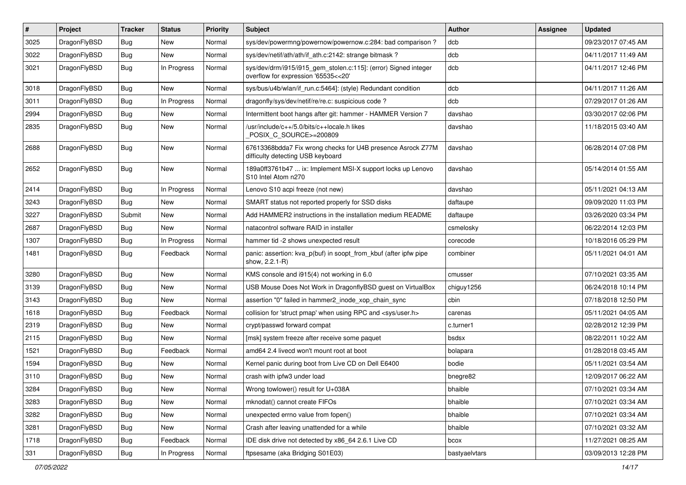| $\pmb{\#}$ | Project      | <b>Tracker</b> | <b>Status</b> | <b>Priority</b> | <b>Subject</b>                                                                                         | Author        | Assignee | <b>Updated</b>      |
|------------|--------------|----------------|---------------|-----------------|--------------------------------------------------------------------------------------------------------|---------------|----------|---------------------|
| 3025       | DragonFlyBSD | Bug            | New           | Normal          | sys/dev/powermng/powernow/powernow.c:284: bad comparison?                                              | dcb           |          | 09/23/2017 07:45 AM |
| 3022       | DragonFlyBSD | <b>Bug</b>     | <b>New</b>    | Normal          | sys/dev/netif/ath/ath/if_ath.c:2142: strange bitmask?                                                  | dcb           |          | 04/11/2017 11:49 AM |
| 3021       | DragonFlyBSD | Bug            | In Progress   | Normal          | sys/dev/drm/i915/i915_gem_stolen.c:115]: (error) Signed integer<br>overflow for expression '65535<<20' | dcb           |          | 04/11/2017 12:46 PM |
| 3018       | DragonFlyBSD | Bug            | <b>New</b>    | Normal          | sys/bus/u4b/wlan/if_run.c:5464]: (style) Redundant condition                                           | dcb           |          | 04/11/2017 11:26 AM |
| 3011       | DragonFlyBSD | Bug            | In Progress   | Normal          | dragonfly/sys/dev/netif/re/re.c: suspicious code?                                                      | dcb           |          | 07/29/2017 01:26 AM |
| 2994       | DragonFlyBSD | Bug            | <b>New</b>    | Normal          | Intermittent boot hangs after git: hammer - HAMMER Version 7                                           | davshao       |          | 03/30/2017 02:06 PM |
| 2835       | DragonFlyBSD | Bug            | <b>New</b>    | Normal          | /usr/include/c++/5.0/bits/c++locale.h likes<br>POSIX_C_SOURCE>=200809                                  | davshao       |          | 11/18/2015 03:40 AM |
| 2688       | DragonFlyBSD | Bug            | New           | Normal          | 67613368bdda7 Fix wrong checks for U4B presence Asrock Z77M<br>difficulty detecting USB keyboard       | davshao       |          | 06/28/2014 07:08 PM |
| 2652       | DragonFlyBSD | Bug            | New           | Normal          | 189a0ff3761b47  ix: Implement MSI-X support locks up Lenovo<br>S10 Intel Atom n270                     | davshao       |          | 05/14/2014 01:55 AM |
| 2414       | DragonFlyBSD | <b>Bug</b>     | In Progress   | Normal          | Lenovo S10 acpi freeze (not new)                                                                       | davshao       |          | 05/11/2021 04:13 AM |
| 3243       | DragonFlyBSD | Bug            | New           | Normal          | SMART status not reported properly for SSD disks                                                       | daftaupe      |          | 09/09/2020 11:03 PM |
| 3227       | DragonFlyBSD | Submit         | New           | Normal          | Add HAMMER2 instructions in the installation medium README                                             | daftaupe      |          | 03/26/2020 03:34 PM |
| 2687       | DragonFlyBSD | <b>Bug</b>     | New           | Normal          | natacontrol software RAID in installer                                                                 | csmelosky     |          | 06/22/2014 12:03 PM |
| 1307       | DragonFlyBSD | Bug            | In Progress   | Normal          | hammer tid -2 shows unexpected result                                                                  | corecode      |          | 10/18/2016 05:29 PM |
| 1481       | DragonFlyBSD | Bug            | Feedback      | Normal          | panic: assertion: kva_p(buf) in soopt_from_kbuf (after ipfw pipe<br>show, 2.2.1-R)                     | combiner      |          | 05/11/2021 04:01 AM |
| 3280       | DragonFlyBSD | Bug            | <b>New</b>    | Normal          | KMS console and i915(4) not working in 6.0                                                             | cmusser       |          | 07/10/2021 03:35 AM |
| 3139       | DragonFlyBSD | <b>Bug</b>     | <b>New</b>    | Normal          | USB Mouse Does Not Work in DragonflyBSD guest on VirtualBox                                            | chiguy1256    |          | 06/24/2018 10:14 PM |
| 3143       | DragonFlyBSD | Bug            | New           | Normal          | assertion "0" failed in hammer2 inode xop chain sync                                                   | cbin          |          | 07/18/2018 12:50 PM |
| 1618       | DragonFlyBSD | <b>Bug</b>     | Feedback      | Normal          | collision for 'struct pmap' when using RPC and <sys user.h=""></sys>                                   | carenas       |          | 05/11/2021 04:05 AM |
| 2319       | DragonFlyBSD | Bug            | <b>New</b>    | Normal          | crypt/passwd forward compat                                                                            | c.turner1     |          | 02/28/2012 12:39 PM |
| 2115       | DragonFlyBSD | Bug            | <b>New</b>    | Normal          | [msk] system freeze after receive some paquet                                                          | bsdsx         |          | 08/22/2011 10:22 AM |
| 1521       | DragonFlyBSD | Bug            | Feedback      | Normal          | amd64 2.4 livecd won't mount root at boot                                                              | bolapara      |          | 01/28/2018 03:45 AM |
| 1594       | DragonFlyBSD | Bug            | <b>New</b>    | Normal          | Kernel panic during boot from Live CD on Dell E6400                                                    | bodie         |          | 05/11/2021 03:54 AM |
| 3110       | DragonFlyBSD | Bug            | <b>New</b>    | Normal          | crash with ipfw3 under load                                                                            | bnegre82      |          | 12/09/2017 06:22 AM |
| 3284       | DragonFlyBSD | Bug            | New           | Normal          | Wrong towlower() result for U+038A                                                                     | bhaible       |          | 07/10/2021 03:34 AM |
| 3283       | DragonFlyBSD | Bug            | <b>New</b>    | Normal          | mknodat() cannot create FIFOs                                                                          | bhaible       |          | 07/10/2021 03:34 AM |
| 3282       | DragonFlyBSD | <b>Bug</b>     | New           | Normal          | unexpected errno value from fopen()                                                                    | bhaible       |          | 07/10/2021 03:34 AM |
| 3281       | DragonFlyBSD | <b>Bug</b>     | New           | Normal          | Crash after leaving unattended for a while                                                             | bhaible       |          | 07/10/2021 03:32 AM |
| 1718       | DragonFlyBSD | Bug            | Feedback      | Normal          | IDE disk drive not detected by x86_64 2.6.1 Live CD                                                    | bcox          |          | 11/27/2021 08:25 AM |
| 331        | DragonFlyBSD | Bug            | In Progress   | Normal          | ftpsesame (aka Bridging S01E03)                                                                        | bastyaelvtars |          | 03/09/2013 12:28 PM |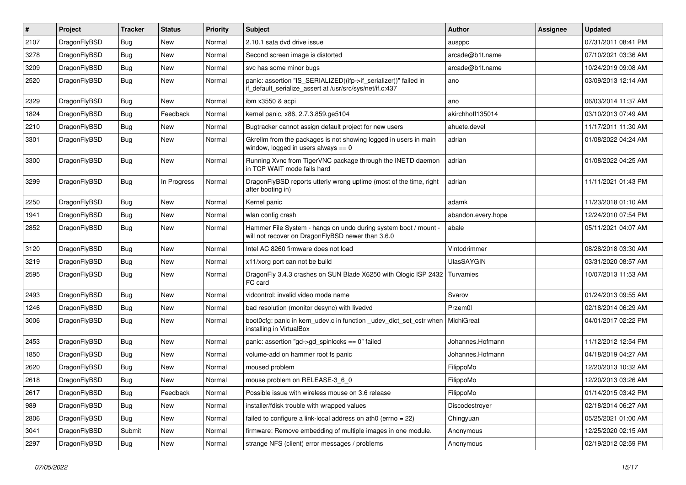| $\vert$ # | Project      | <b>Tracker</b> | <b>Status</b> | <b>Priority</b> | <b>Subject</b>                                                                                                               | Author             | <b>Assignee</b> | <b>Updated</b>      |
|-----------|--------------|----------------|---------------|-----------------|------------------------------------------------------------------------------------------------------------------------------|--------------------|-----------------|---------------------|
| 2107      | DragonFlyBSD | Bug            | <b>New</b>    | Normal          | 2.10.1 sata dvd drive issue                                                                                                  | ausppc             |                 | 07/31/2011 08:41 PM |
| 3278      | DragonFlyBSD | <b>Bug</b>     | <b>New</b>    | Normal          | Second screen image is distorted                                                                                             | arcade@b1t.name    |                 | 07/10/2021 03:36 AM |
| 3209      | DragonFlyBSD | <b>Bug</b>     | <b>New</b>    | Normal          | svc has some minor bugs                                                                                                      | arcade@b1t.name    |                 | 10/24/2019 09:08 AM |
| 2520      | DragonFlyBSD | Bug            | New           | Normal          | panic: assertion "IS_SERIALIZED((ifp->if_serializer))" failed in<br>if_default_serialize_assert at /usr/src/sys/net/if.c:437 | ano                |                 | 03/09/2013 12:14 AM |
| 2329      | DragonFlyBSD | <b>Bug</b>     | New           | Normal          | ibm x3550 & acpi                                                                                                             | ano                |                 | 06/03/2014 11:37 AM |
| 1824      | DragonFlyBSD | Bug            | Feedback      | Normal          | kernel panic, x86, 2.7.3.859.ge5104                                                                                          | akirchhoff135014   |                 | 03/10/2013 07:49 AM |
| 2210      | DragonFlyBSD | <b>Bug</b>     | <b>New</b>    | Normal          | Bugtracker cannot assign default project for new users                                                                       | ahuete.devel       |                 | 11/17/2011 11:30 AM |
| 3301      | DragonFlyBSD | <b>Bug</b>     | <b>New</b>    | Normal          | Gkrellm from the packages is not showing logged in users in main<br>window, logged in users always $== 0$                    | adrian             |                 | 01/08/2022 04:24 AM |
| 3300      | DragonFlyBSD | <b>Bug</b>     | <b>New</b>    | Normal          | Running Xvnc from TigerVNC package through the INETD daemon<br>in TCP WAIT mode fails hard                                   | adrian             |                 | 01/08/2022 04:25 AM |
| 3299      | DragonFlyBSD | <b>Bug</b>     | In Progress   | Normal          | DragonFlyBSD reports utterly wrong uptime (most of the time, right<br>after booting in)                                      | adrian             |                 | 11/11/2021 01:43 PM |
| 2250      | DragonFlyBSD | Bug            | <b>New</b>    | Normal          | Kernel panic                                                                                                                 | adamk              |                 | 11/23/2018 01:10 AM |
| 1941      | DragonFlyBSD | <b>Bug</b>     | <b>New</b>    | Normal          | wlan config crash                                                                                                            | abandon.every.hope |                 | 12/24/2010 07:54 PM |
| 2852      | DragonFlyBSD | Bug            | New           | Normal          | Hammer File System - hangs on undo during system boot / mount -<br>will not recover on DragonFlyBSD newer than 3.6.0         | abale              |                 | 05/11/2021 04:07 AM |
| 3120      | DragonFlyBSD | <b>Bug</b>     | <b>New</b>    | Normal          | Intel AC 8260 firmware does not load                                                                                         | Vintodrimmer       |                 | 08/28/2018 03:30 AM |
| 3219      | DragonFlyBSD | Bug            | <b>New</b>    | Normal          | x11/xorg port can not be build                                                                                               | <b>UlasSAYGIN</b>  |                 | 03/31/2020 08:57 AM |
| 2595      | DragonFlyBSD | Bug            | <b>New</b>    | Normal          | DragonFly 3.4.3 crashes on SUN Blade X6250 with Qlogic ISP 2432<br>FC card                                                   | Turvamies          |                 | 10/07/2013 11:53 AM |
| 2493      | DragonFlyBSD | Bug            | <b>New</b>    | Normal          | vidcontrol: invalid video mode name                                                                                          | Svarov             |                 | 01/24/2013 09:55 AM |
| 1246      | DragonFlyBSD | Bug            | <b>New</b>    | Normal          | bad resolution (monitor desync) with livedvd                                                                                 | Przem0l            |                 | 02/18/2014 06:29 AM |
| 3006      | DragonFlyBSD | Bug            | <b>New</b>    | Normal          | boot0cfg: panic in kern_udev.c in function _udev_dict_set_cstr when<br>installing in VirtualBox                              | MichiGreat         |                 | 04/01/2017 02:22 PM |
| 2453      | DragonFlyBSD | <b>Bug</b>     | <b>New</b>    | Normal          | panic: assertion "gd->gd_spinlocks == $0$ " failed                                                                           | Johannes.Hofmann   |                 | 11/12/2012 12:54 PM |
| 1850      | DragonFlyBSD | <b>Bug</b>     | <b>New</b>    | Normal          | volume-add on hammer root fs panic                                                                                           | Johannes.Hofmann   |                 | 04/18/2019 04:27 AM |
| 2620      | DragonFlyBSD | <b>Bug</b>     | <b>New</b>    | Normal          | moused problem                                                                                                               | FilippoMo          |                 | 12/20/2013 10:32 AM |
| 2618      | DragonFlyBSD | <b>Bug</b>     | <b>New</b>    | Normal          | mouse problem on RELEASE-3_6_0                                                                                               | FilippoMo          |                 | 12/20/2013 03:26 AM |
| 2617      | DragonFlyBSD | <b>Bug</b>     | Feedback      | Normal          | Possible issue with wireless mouse on 3.6 release                                                                            | FilippoMo          |                 | 01/14/2015 03:42 PM |
| 989       | DragonFlyBSD | <b>Bug</b>     | New           | Normal          | installer/fdisk trouble with wrapped values                                                                                  | Discodestroyer     |                 | 02/18/2014 06:27 AM |
| 2806      | DragonFlyBSD | Bug            | New           | Normal          | failed to configure a link-local address on ath0 (errno = 22)                                                                | Chingyuan          |                 | 05/25/2021 01:00 AM |
| 3041      | DragonFlyBSD | Submit         | New           | Normal          | firmware: Remove embedding of multiple images in one module.                                                                 | Anonymous          |                 | 12/25/2020 02:15 AM |
| 2297      | DragonFlyBSD | Bug            | New           | Normal          | strange NFS (client) error messages / problems                                                                               | Anonymous          |                 | 02/19/2012 02:59 PM |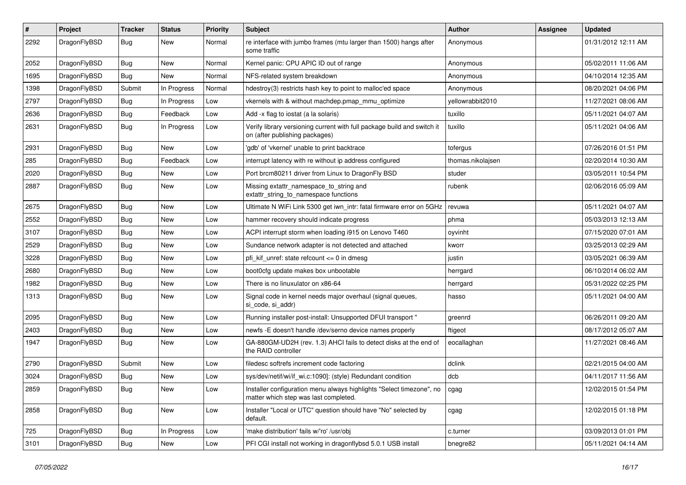| #    | Project      | <b>Tracker</b> | <b>Status</b> | <b>Priority</b> | Subject                                                                                                       | Author            | Assignee | <b>Updated</b>      |
|------|--------------|----------------|---------------|-----------------|---------------------------------------------------------------------------------------------------------------|-------------------|----------|---------------------|
| 2292 | DragonFlyBSD | Bug            | New           | Normal          | re interface with jumbo frames (mtu larger than 1500) hangs after<br>some traffic                             | Anonymous         |          | 01/31/2012 12:11 AM |
| 2052 | DragonFlyBSD | <b>Bug</b>     | New           | Normal          | Kernel panic: CPU APIC ID out of range                                                                        | Anonymous         |          | 05/02/2011 11:06 AM |
| 1695 | DragonFlyBSD | Bug            | New           | Normal          | NFS-related system breakdown                                                                                  | Anonymous         |          | 04/10/2014 12:35 AM |
| 1398 | DragonFlyBSD | Submit         | In Progress   | Normal          | hdestroy(3) restricts hash key to point to malloc'ed space                                                    | Anonymous         |          | 08/20/2021 04:06 PM |
| 2797 | DragonFlyBSD | Bug            | In Progress   | Low             | vkernels with & without machdep.pmap_mmu_optimize                                                             | yellowrabbit2010  |          | 11/27/2021 08:06 AM |
| 2636 | DragonFlyBSD | Bug            | Feedback      | Low             | Add -x flag to iostat (a la solaris)                                                                          | tuxillo           |          | 05/11/2021 04:07 AM |
| 2631 | DragonFlyBSD | Bug            | In Progress   | Low             | Verify library versioning current with full package build and switch it<br>on (after publishing packages)     | tuxillo           |          | 05/11/2021 04:06 AM |
| 2931 | DragonFlyBSD | <b>Bug</b>     | New           | Low             | 'gdb' of 'vkernel' unable to print backtrace                                                                  | tofergus          |          | 07/26/2016 01:51 PM |
| 285  | DragonFlyBSD | <b>Bug</b>     | Feedback      | Low             | interrupt latency with re without ip address configured                                                       | thomas.nikolajsen |          | 02/20/2014 10:30 AM |
| 2020 | DragonFlyBSD | Bug            | New           | Low             | Port brcm80211 driver from Linux to DragonFly BSD                                                             | studer            |          | 03/05/2011 10:54 PM |
| 2887 | DragonFlyBSD | <b>Bug</b>     | New           | Low             | Missing extattr_namespace_to_string and<br>extattr_string_to_namespace functions                              | rubenk            |          | 02/06/2016 05:09 AM |
| 2675 | DragonFlyBSD | Bug            | <b>New</b>    | Low             | Ultimate N WiFi Link 5300 get iwn_intr: fatal firmware error on 5GHz                                          | revuwa            |          | 05/11/2021 04:07 AM |
| 2552 | DragonFlyBSD | <b>Bug</b>     | New           | Low             | hammer recovery should indicate progress                                                                      | phma              |          | 05/03/2013 12:13 AM |
| 3107 | DragonFlyBSD | Bug            | New           | Low             | ACPI interrupt storm when loading i915 on Lenovo T460                                                         | oyvinht           |          | 07/15/2020 07:01 AM |
| 2529 | DragonFlyBSD | <b>Bug</b>     | <b>New</b>    | Low             | Sundance network adapter is not detected and attached                                                         | kworr             |          | 03/25/2013 02:29 AM |
| 3228 | DragonFlyBSD | Bug            | <b>New</b>    | Low             | pfi kif unref: state refcount $\leq$ 0 in dmesg                                                               | justin            |          | 03/05/2021 06:39 AM |
| 2680 | DragonFlyBSD | Bug            | <b>New</b>    | Low             | boot0cfg update makes box unbootable                                                                          | herrgard          |          | 06/10/2014 06:02 AM |
| 1982 | DragonFlyBSD | <b>Bug</b>     | New           | Low             | There is no linuxulator on x86-64                                                                             | herrgard          |          | 05/31/2022 02:25 PM |
| 1313 | DragonFlyBSD | <b>Bug</b>     | New           | Low             | Signal code in kernel needs major overhaul (signal queues,<br>si_code, si_addr)                               | hasso             |          | 05/11/2021 04:00 AM |
| 2095 | DragonFlyBSD | <b>Bug</b>     | New           | Low             | Running installer post-install: Unsupported DFUI transport "                                                  | greenrd           |          | 06/26/2011 09:20 AM |
| 2403 | DragonFlyBSD | Bug            | New           | Low             | newfs -E doesn't handle /dev/serno device names properly                                                      | ftigeot           |          | 08/17/2012 05:07 AM |
| 1947 | DragonFlyBSD | Bug            | <b>New</b>    | Low             | GA-880GM-UD2H (rev. 1.3) AHCI fails to detect disks at the end of<br>the RAID controller                      | eocallaghan       |          | 11/27/2021 08:46 AM |
| 2790 | DragonFlyBSD | Submit         | <b>New</b>    | Low             | filedesc softrefs increment code factoring                                                                    | dclink            |          | 02/21/2015 04:00 AM |
| 3024 | DragonFlyBSD | Bug            | New           | Low             | sys/dev/netif/wi/if_wi.c:1090]: (style) Redundant condition                                                   | dcb               |          | 04/11/2017 11:56 AM |
| 2859 | DragonFlyBSD | Bug            | New           | Low             | Installer configuration menu always highlights "Select timezone", no<br>matter which step was last completed. | cgag              |          | 12/02/2015 01:54 PM |
| 2858 | DragonFlyBSD | <b>Bug</b>     | New           | Low             | Installer "Local or UTC" question should have "No" selected by<br>default.                                    | cgag              |          | 12/02/2015 01:18 PM |
| 725  | DragonFlyBSD | <b>Bug</b>     | In Progress   | Low             | 'make distribution' fails w/'ro' /usr/obj                                                                     | c.turner          |          | 03/09/2013 01:01 PM |
| 3101 | DragonFlyBSD | <b>Bug</b>     | New           | Low             | PFI CGI install not working in dragonflybsd 5.0.1 USB install                                                 | bnegre82          |          | 05/11/2021 04:14 AM |